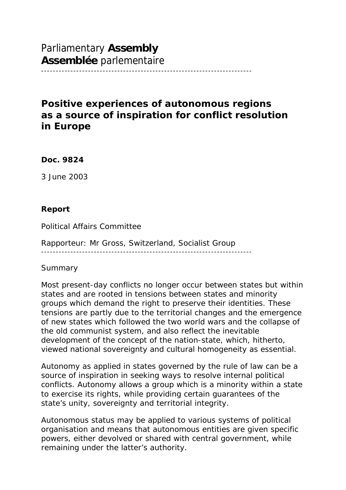Parliamentary **Assembly Assemblée** parlementaire

# **Positive experiences of autonomous regions as a source of inspiration for conflict resolution in Europe**

------------------------------------------------------------------------

**Doc. 9824**

3 June 2003

#### **Report**

Political Affairs Committee

Rapporteur: Mr Gross, Switzerland, Socialist Group ------------------------------------------------------------------------

#### *Summary*

Most present-day conflicts no longer occur between states but within states and are rooted in tensions between states and minority groups which demand the right to preserve their identities. These tensions are partly due to the territorial changes and the emergence of new states which followed the two world wars and the collapse of the old communist system, and also reflect the inevitable development of the concept of the nation-state, which, hitherto, viewed national sovereignty and cultural homogeneity as essential.

Autonomy as applied in states governed by the rule of law can be a source of inspiration in seeking ways to resolve internal political conflicts. Autonomy allows a group which is a minority within a state to exercise its rights, while providing certain guarantees of the state's unity, sovereignty and territorial integrity.

Autonomous status may be applied to various systems of political organisation and means that autonomous entities are given specific powers, either devolved or shared with central government, while remaining under the latter's authority.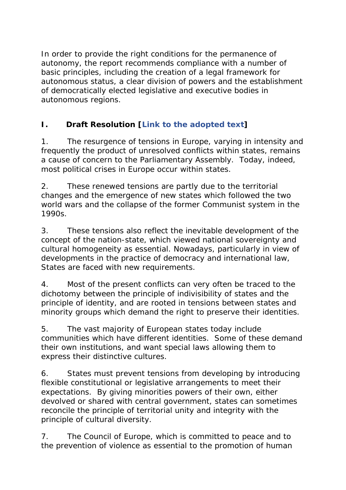In order to provide the right conditions for the permanence of autonomy, the report recommends compliance with a number of basic principles, including the creation of a legal framework for autonomous status, a clear division of powers and the establishment of democratically elected legislative and executive bodies in autonomous regions.

# **I. Draft Resolution [***Link to the adopted text***]**

1. The resurgence of tensions in Europe, varying in intensity and frequently the product of unresolved conflicts within states, remains a cause of concern to the Parliamentary Assembly. Today, indeed, most political crises in Europe occur within states.

2. These renewed tensions are partly due to the territorial changes and the emergence of new states which followed the two world wars and the collapse of the former Communist system in the 1990s.

3. These tensions also reflect the inevitable development of the concept of the nation-state, which viewed national sovereignty and cultural homogeneity as essential. Nowadays, particularly in view of developments in the practice of democracy and international law, States are faced with new requirements.

4. Most of the present conflicts can very often be traced to the dichotomy between the principle of indivisibility of states and the principle of identity, and are rooted in tensions between states and minority groups which demand the right to preserve their identities.

5. The vast majority of European states today include communities which have different identities. Some of these demand their own institutions, and want special laws allowing them to express their distinctive cultures.

6. States must prevent tensions from developing by introducing flexible constitutional or legislative arrangements to meet their expectations. By giving minorities powers of their own, either devolved or shared with central government, states can sometimes reconcile the principle of territorial unity and integrity with the principle of cultural diversity.

7. The Council of Europe, which is committed to peace and to the prevention of violence as essential to the promotion of human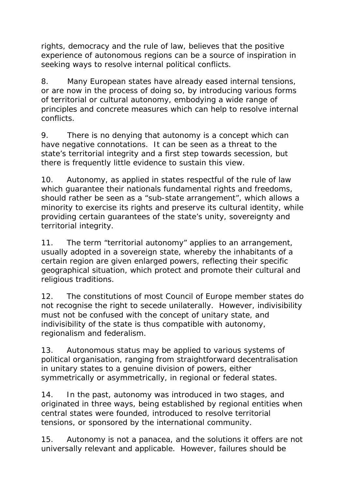rights, democracy and the rule of law, believes that the positive experience of autonomous regions can be a source of inspiration in seeking ways to resolve internal political conflicts.

8. Many European states have already eased internal tensions, or are now in the process of doing so, by introducing various forms of territorial or cultural autonomy, embodying a wide range of principles and concrete measures which can help to resolve internal conflicts.

9. There is no denying that autonomy is a concept which can have negative connotations. It can be seen as a threat to the state's territorial integrity and a first step towards secession, but there is frequently little evidence to sustain this view.

10. Autonomy, as applied in states respectful of the rule of law which guarantee their nationals fundamental rights and freedoms, should rather be seen as a "sub-state arrangement", which allows a minority to exercise its rights and preserve its cultural identity, while providing certain guarantees of the state's unity, sovereignty and territorial integrity.

11. The term "territorial autonomy" applies to an arrangement, usually adopted in a sovereign state, whereby the inhabitants of a certain region are given enlarged powers, reflecting their specific geographical situation, which protect and promote their cultural and religious traditions.

12. The constitutions of most Council of Europe member states do not recognise the right to secede unilaterally. However, indivisibility must not be confused with the concept of unitary state, and indivisibility of the state is thus compatible with autonomy, regionalism and federalism.

13. Autonomous status may be applied to various systems of political organisation, ranging from straightforward decentralisation in unitary states to a genuine division of powers, either symmetrically or asymmetrically, in regional or federal states.

14. In the past, autonomy was introduced in two stages, and originated in three ways, being established by regional entities when central states were founded, introduced to resolve territorial tensions, or sponsored by the international community.

15. Autonomy is not a panacea, and the solutions it offers are not universally relevant and applicable. However, failures should be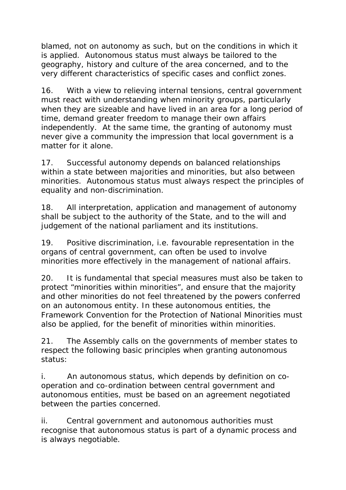blamed, not on autonomy as such, but on the conditions in which it is applied. Autonomous status must always be tailored to the geography, history and culture of the area concerned, and to the very different characteristics of specific cases and conflict zones.

16. With a view to relieving internal tensions, central government must react with understanding when minority groups, particularly when they are sizeable and have lived in an area for a long period of time, demand greater freedom to manage their own affairs independently. At the same time, the granting of autonomy must never give a community the impression that local government is a matter for it alone.

17. Successful autonomy depends on balanced relationships within a state between majorities and minorities, but also between minorities. Autonomous status must always respect the principles of equality and non-discrimination.

18. All interpretation, application and management of autonomy shall be subject to the authority of the State, and to the will and judgement of the national parliament and its institutions.

19. Positive discrimination, i.e. favourable representation in the organs of central government, can often be used to involve minorities more effectively in the management of national affairs.

20. It is fundamental that special measures must also be taken to protect "minorities within minorities", and ensure that the majority and other minorities do not feel threatened by the powers conferred on an autonomous entity. In these autonomous entities, the Framework Convention for the Protection of National Minorities must also be applied, for the benefit of minorities within minorities.

21. The Assembly calls on the governments of member states to respect the following basic principles when granting autonomous status:

i. An autonomous status, which depends by definition on cooperation and co-ordination between central government and autonomous entities, must be based on an agreement negotiated between the parties concerned.

ii. Central government and autonomous authorities must recognise that autonomous status is part of a dynamic process and is always negotiable.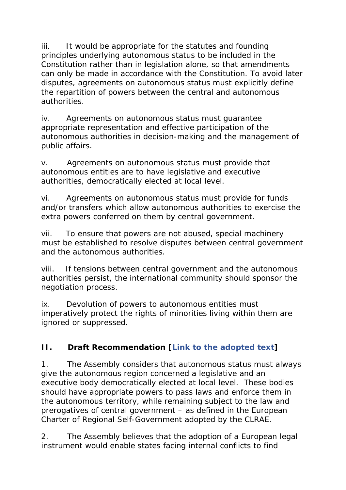iii. It would be appropriate for the statutes and founding principles underlying autonomous status to be included in the Constitution rather than in legislation alone, so that amendments can only be made in accordance with the Constitution. To avoid later disputes, agreements on autonomous status must explicitly define the repartition of powers between the central and autonomous authorities.

iv. Agreements on autonomous status must guarantee appropriate representation and effective participation of the autonomous authorities in decision-making and the management of public affairs.

v. Agreements on autonomous status must provide that autonomous entities are to have legislative and executive authorities, democratically elected at local level.

vi. Agreements on autonomous status must provide for funds and/or transfers which allow autonomous authorities to exercise the extra powers conferred on them by central government.

vii. To ensure that powers are not abused, special machinery must be established to resolve disputes between central government and the autonomous authorities.

viii. If tensions between central government and the autonomous authorities persist, the international community should sponsor the negotiation process.

ix. Devolution of powers to autonomous entities must imperatively protect the rights of minorities living within them are ignored or suppressed.

# **II. Draft Recommendation [***Link to the adopted text***]**

1. The Assembly considers that autonomous status must always give the autonomous region concerned a legislative and an executive body democratically elected at local level. These bodies should have appropriate powers to pass laws and enforce them in the autonomous territory, while remaining subject to the law and prerogatives of central government – as defined in the European Charter of Regional Self-Government adopted by the CLRAE.

2. The Assembly believes that the adoption of a European legal instrument would enable states facing internal conflicts to find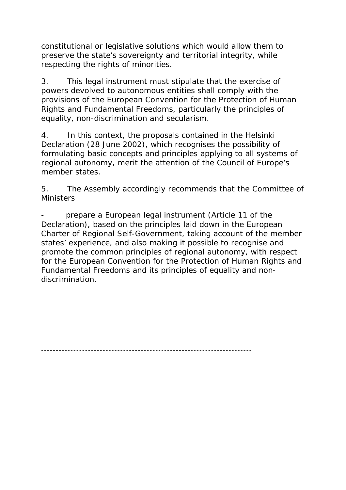constitutional or legislative solutions which would allow them to preserve the state's sovereignty and territorial integrity, while respecting the rights of minorities.

3. This legal instrument must stipulate that the exercise of powers devolved to autonomous entities shall comply with the provisions of the European Convention for the Protection of Human Rights and Fundamental Freedoms, particularly the principles of equality, non-discrimination and secularism.

4. In this context, the proposals contained in the Helsinki Declaration (28 June 2002), which recognises the possibility of formulating basic concepts and principles applying to all systems of regional autonomy, merit the attention of the Council of Europe's member states.

5. The Assembly accordingly recommends that the Committee of **Ministers** 

prepare a European legal instrument (Article 11 of the Declaration), based on the principles laid down in the European Charter of Regional Self-Government, taking account of the member states' experience, and also making it possible to recognise and promote the common principles of regional autonomy, with respect for the European Convention for the Protection of Human Rights and Fundamental Freedoms and its principles of equality and nondiscrimination.

------------------------------------------------------------------------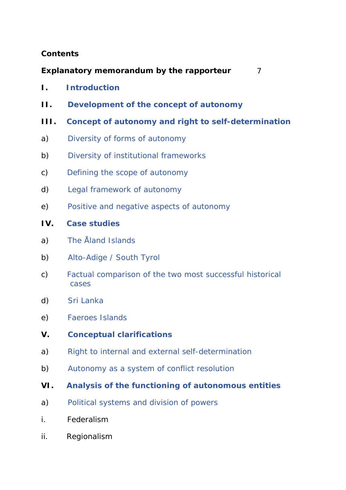#### **Contents**

**Explanatory memorandum by the rapporteur** 7

- **I. Introduction**
- **II. Development of the concept of autonomy**
- **III. Concept of autonomy and right to self-determination**
- a) Diversity of forms of autonomy
- b) Diversity of institutional frameworks
- c) Defining the scope of autonomy
- d) Legal framework of autonomy
- e) Positive and negative aspects of autonomy

#### **IV. Case studies**

- a) The Åland Islands
- b) Alto-Adige / South Tyrol
- c) Factual comparison of the two most successful historical cases
- d) Sri Lanka
- e) Faeroes Islands
- **V. Conceptual clarifications**
- a) Right to internal and external self-determination
- b) Autonomy as a system of conflict resolution
- **VI. Analysis of the functioning of autonomous entities**
- a) Political systems and division of powers
- i. Federalism
- ii. Regionalism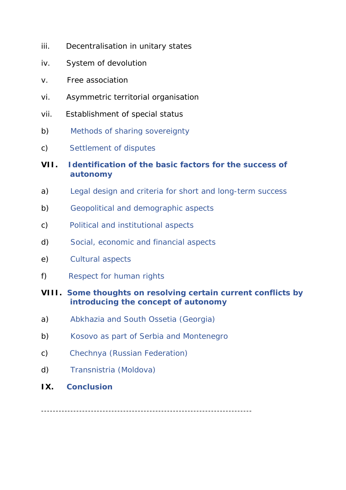- iii. Decentralisation in unitary states
- iv. System of devolution
- v. Free association
- vi. Asymmetric territorial organisation
- vii. Establishment of special status
- b) Methods of sharing sovereignty
- c) Settlement of disputes
- **VII. Identification of the basic factors for the success of autonomy**
- a) Legal design and criteria for short and long-term success
- b) Geopolitical and demographic aspects
- c) Political and institutional aspects
- d) Social, economic and financial aspects
- e) Cultural aspects
- f) Respect for human rights

#### **VIII. Some thoughts on resolving certain current conflicts by introducing the concept of autonomy**

- a) Abkhazia and South Ossetia (Georgia)
- b) Kosovo as part of Serbia and Montenegro
- c) Chechnya (Russian Federation)
- d) Transnistria (Moldova)
- **IX. Conclusion**

------------------------------------------------------------------------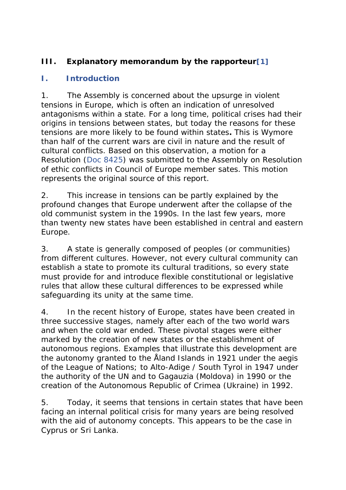# **III. Explanatory memorandum by the rapporteur[1]**

### **I. Introduction**

1. The Assembly is concerned about the upsurge in violent tensions in Europe, which is often an indication of unresolved antagonisms within a state. For a long time, political crises had their origins in tensions between states, but today the reasons for these tensions are more likely to be found within states**.** This is Wymore than half of the current wars are civil in nature and the result of cultural conflicts. Based on this observation, a motion for a Resolution (Doc 8425) was submitted to the Assembly on *Resolution of ethic conflicts in Council of Europe member sates*. This motion represents the original source of this report.

2. This increase in tensions can be partly explained by the profound changes that Europe underwent after the collapse of the old communist system in the 1990s. In the last few years, more than twenty new states have been established in central and eastern Europe.

3. A state is generally composed of peoples (or communities) from different cultures. However, not every cultural community can establish a state to promote its cultural traditions, so every state must provide for and introduce flexible constitutional or legislative rules that allow these cultural differences to be expressed while safeguarding its unity at the same time.

4. In the recent history of Europe, states have been created in three successive stages, namely after each of the two world wars and when the cold war ended. These pivotal stages were either marked by the creation of new states or the establishment of autonomous regions. Examples that illustrate this development are the autonomy granted to the Åland Islands in 1921 under the aegis of the League of Nations; to Alto-Adige / South Tyrol in 1947 under the authority of the UN and to Gagauzia (Moldova) in 1990 or the creation of the Autonomous Republic of Crimea (Ukraine) in 1992.

5. Today, it seems that tensions in certain states that have been facing an internal political crisis for many years are being resolved with the aid of autonomy concepts. This appears to be the case in Cyprus or Sri Lanka.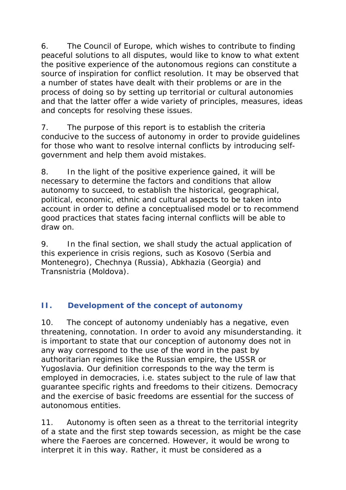6. The Council of Europe, which wishes to contribute to finding peaceful solutions to all disputes, would like to know to what extent the positive experience of the autonomous regions can constitute a source of inspiration for conflict resolution. It may be observed that a number of states have dealt with their problems or are in the process of doing so by setting up territorial or cultural autonomies and that the latter offer a wide variety of principles, measures, ideas and concepts for resolving these issues.

7. The purpose of this report is to establish the criteria conducive to the success of autonomy in order to provide guidelines for those who want to resolve internal conflicts by introducing selfgovernment and help them avoid mistakes.

8. In the light of the positive experience gained, it will be necessary to determine the factors and conditions that allow autonomy to succeed, to establish the historical, geographical, political, economic, ethnic and cultural aspects to be taken into account in order to define a conceptualised model or to recommend good practices that states facing internal conflicts will be able to draw on.

9. In the final section, we shall study the actual application of this experience in crisis regions, such as Kosovo (Serbia and Montenegro), Chechnya (Russia), Abkhazia (Georgia) and Transnistria (Moldova).

### **II. Development of the concept of autonomy**

10. The concept of autonomy undeniably has a negative, even threatening, connotation. In order to avoid any misunderstanding. it is important to state that our conception of autonomy does not in any way correspond to the use of the word in the past by authoritarian regimes like the Russian empire, the USSR or Yugoslavia. Our definition corresponds to the way the term is employed in democracies, i.e. states subject to the rule of law that guarantee specific rights and freedoms to their citizens. Democracy and the exercise of basic freedoms are essential for the success of autonomous entities.

11. Autonomy is often seen as a threat to the territorial integrity of a state and the first step towards secession, as might be the case where the Faeroes are concerned. However, it would be wrong to interpret it in this way. Rather, it must be considered as a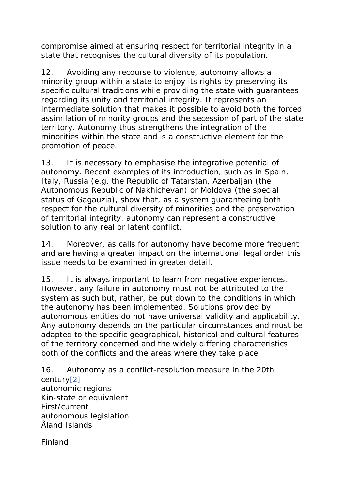compromise aimed at ensuring respect for territorial integrity in a state that recognises the cultural diversity of its population.

12. Avoiding any recourse to violence, autonomy allows a minority group within a state to enjoy its rights by preserving its specific cultural traditions while providing the state with guarantees regarding its unity and territorial integrity. It represents an intermediate solution that makes it possible to avoid both the forced assimilation of minority groups and the secession of part of the state territory. Autonomy thus strengthens the integration of the minorities within the state and is a constructive element for the promotion of peace.

13. It is necessary to emphasise the integrative potential of autonomy. Recent examples of its introduction, such as in Spain, Italy, Russia (e.g. the Republic of Tatarstan, Azerbaijan (the Autonomous Republic of Nakhichevan) or Moldova (the special status of Gagauzia), show that, as a system guaranteeing both respect for the cultural diversity of minorities and the preservation of territorial integrity, autonomy can represent a constructive solution to any real or latent conflict.

14. Moreover, as calls for autonomy have become more frequent and are having a greater impact on the international legal order this issue needs to be examined in greater detail.

15. It is always important to learn from negative experiences. However, any failure in autonomy must not be attributed to the system as such but, rather, be put down to the conditions in which the autonomy has been implemented. Solutions provided by autonomous entities do not have universal validity and applicability. Any autonomy depends on the particular circumstances and must be adapted to the specific geographical, historical and cultural features of the territory concerned and the widely differing characteristics both of the conflicts and the areas where they take place.

16. Autonomy as a conflict-resolution measure in the 20th century[2] autonomic regions Kin-state or equivalent First/current autonomous legislation Åland Islands

Finland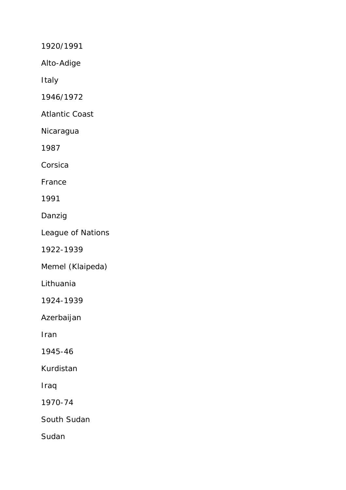1920/1991

Alto-Adige

Italy

1946/1972

Atlantic Coast

Nicaragua

1987

Corsica

France

1991

Danzig

League of Nations

1922-1939

Memel (Klaipeda)

Lithuania

1924-1939

Azerbaijan

Iran

1945-46

Kurdistan

Iraq

1970-74

South Sudan

Sudan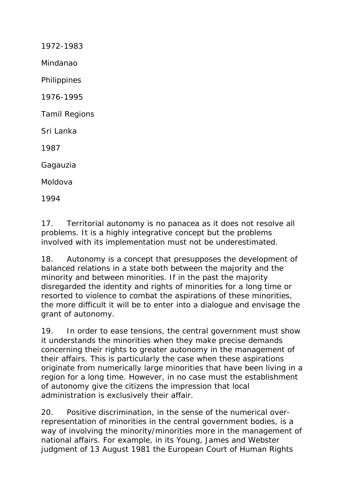1972-1983 Mindanao Philippines 1976-1995 Tamil Regions Sri Lanka 1987 Gagauzia Moldova 1994

17. Territorial autonomy is no panacea as it does not resolve all problems. It is a highly integrative concept but the problems involved with its implementation must not be underestimated.

18. Autonomy is a concept that presupposes the development of balanced relations in a state both between the majority and the minority and between minorities. If in the past the majority disregarded the identity and rights of minorities for a long time or resorted to violence to combat the aspirations of these minorities, the more difficult it will be to enter into a dialogue and envisage the grant of autonomy.

19. In order to ease tensions, the central government must show it understands the minorities when they make precise demands concerning their rights to greater autonomy in the management of their affairs. This is particularly the case when these aspirations originate from numerically large minorities that have been living in a region for a long time. However, in no case must the establishment of autonomy give the citizens the impression that local administration is exclusively their affair.

20. Positive discrimination, in the sense of the numerical overrepresentation of minorities in the central government bodies, is a way of involving the minority/minorities more in the management of national affairs. For example, in its Young, James and Webster judgment of 13 August 1981 the European Court of Human Rights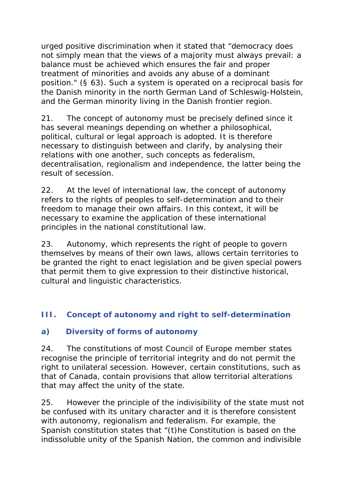urged positive discrimination when it stated that "democracy does not simply mean that the views of a majority must always prevail: a balance must be achieved which ensures the fair and proper treatment of minorities and avoids any abuse of a dominant position." (§ 63). Such a system is operated on a reciprocal basis for the Danish minority in the north German *Land* of Schleswig-Holstein, and the German minority living in the Danish frontier region.

21. The concept of autonomy must be precisely defined since it has several meanings depending on whether a philosophical, political, cultural or legal approach is adopted. It is therefore necessary to distinguish between and clarify, by analysing their relations with one another, such concepts as federalism, decentralisation, regionalism and independence, the latter being the result of secession.

22. At the level of international law, the concept of autonomy refers to the rights of peoples to self-determination and to their freedom to manage their own affairs. In this context, it will be necessary to examine the application of these international principles in the national constitutional law.

23. Autonomy, which represents the right of people to govern themselves by means of their own laws, allows certain territories to be granted the right to enact legislation and be given special powers that permit them to give expression to their distinctive historical, cultural and linguistic characteristics.

### **III. Concept of autonomy and right to self-determination**

### **a) Diversity of forms of autonomy**

24. The constitutions of most Council of Europe member states recognise the principle of territorial integrity and do not permit the right to unilateral secession. However, certain constitutions, such as that of Canada, contain provisions that allow territorial alterations that may affect the unity of the state.

25. However the principle of the indivisibility of the state must not be confused with its unitary character and it is therefore consistent with autonomy, regionalism and federalism. For example, the Spanish constitution states that "(t)he Constitution is based on the indissoluble unity of the Spanish Nation, the common and indivisible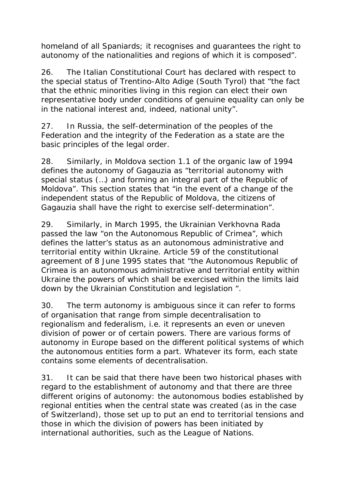homeland of all Spaniards; it recognises and guarantees the right to autonomy of the nationalities and regions of which it is composed".

26. The Italian Constitutional Court has declared with respect to the special status of Trentino-Alto Adige (South Tyrol) that "the fact that the ethnic minorities living in this region can elect their own representative body under conditions of genuine equality can only be in the national interest and, indeed, national unity".

27. In Russia, the self-determination of the peoples of the Federation and the integrity of the Federation as a state are the basic principles of the legal order.

28. Similarly, in Moldova section 1.1 of the organic law of 1994 defines the autonomy of Gagauzia as "territorial autonomy with special status (…) and forming an integral part of the Republic of Moldova". This section states that "in the event of a change of the independent status of the Republic of Moldova, the citizens of Gagauzia shall have the right to exercise self-determination".

29. Similarly, in March 1995, the Ukrainian Verkhovna Rada passed the law "on the Autonomous Republic of Crimea", which defines the latter's status as an autonomous administrative and territorial entity within Ukraine. Article 59 of the constitutional agreement of 8 June 1995 states that "the Autonomous Republic of Crimea is an autonomous administrative and territorial entity within Ukraine the powers of which shall be exercised within the limits laid down by the Ukrainian Constitution and legislation ".

30. The term autonomy is ambiguous since it can refer to forms of organisation that range from simple decentralisation to regionalism and federalism, i.e. it represents an even or uneven division of power or of certain powers. There are various forms of autonomy in Europe based on the different political systems of which the autonomous entities form a part. Whatever its form, each state contains some elements of decentralisation.

31. It can be said that there have been two historical phases with regard to the establishment of autonomy and that there are three different origins of autonomy: the autonomous bodies established by regional entities when the central state was created (as in the case of Switzerland), those set up to put an end to territorial tensions and those in which the division of powers has been initiated by international authorities, such as the League of Nations.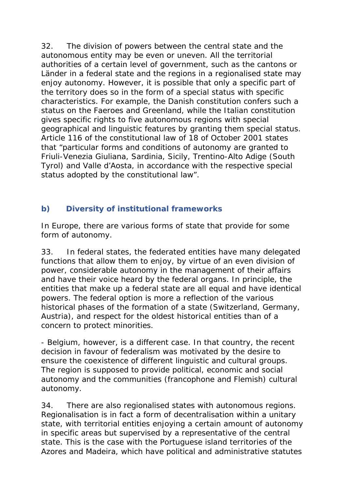32. The division of powers between the central state and the autonomous entity may be even or uneven. All the territorial authorities of a certain level of government, such as the cantons or *Länder* in a federal state and the regions in a regionalised state may enjoy autonomy. However, it is possible that only a specific part of the territory does so in the form of a special status with specific characteristics. For example, the Danish constitution confers such a status on the Faeroes and Greenland, while the Italian constitution gives specific rights to five autonomous regions with special geographical and linguistic features by granting them special status. Article 116 of the constitutional law of 18 of October 2001 states that "particular forms and conditions of autonomy are granted to Friuli-Venezia Giuliana, Sardinia, Sicily, Trentino-Alto Adige (South Tyrol) and Valle d'Aosta, in accordance with the respective special status adopted by the constitutional law".

## **b) Diversity of institutional frameworks**

In Europe, there are various forms of state that provide for some form of autonomy.

33. In federal states, the federated entities have many delegated functions that allow them to enjoy, by virtue of an even division of power, considerable autonomy in the management of their affairs and have their voice heard by the federal organs. In principle, the entities that make up a federal state are all equal and have identical powers. The federal option is more a reflection of the various historical phases of the formation of a state (Switzerland, Germany, Austria), and respect for the oldest historical entities than of a concern to protect minorities.

- Belgium, however, is a different case. In that country, the recent decision in favour of federalism was motivated by the desire to ensure the coexistence of different linguistic and cultural groups. The region is supposed to provide political, economic and social autonomy and the communities (francophone and Flemish) cultural autonomy.

34. There are also regionalised states with autonomous regions. Regionalisation is in fact a form of decentralisation within a unitary state, with territorial entities enjoying a certain amount of autonomy in specific areas but supervised by a representative of the central state. This is the case with the Portuguese island territories of the Azores and Madeira, which have political and administrative statutes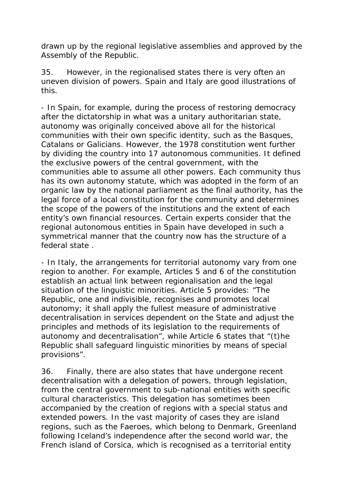drawn up by the regional legislative assemblies and approved by the Assembly of the Republic.

35. However, in the regionalised states there is very often an uneven division of powers. Spain and Italy are good illustrations of this.

- In Spain, for example, during the process of restoring democracy after the dictatorship in what was a unitary authoritarian state, autonomy was originally conceived above all for the historical communities with their own specific identity, such as the Basques, Catalans or Galicians. However, the 1978 constitution went further by dividing the country into 17 autonomous communities. It defined the exclusive powers of the central government, with the communities able to assume all other powers. Each community thus has its own autonomy statute, which was adopted in the form of an organic law by the national parliament as the final authority, has the legal force of a local constitution for the community and determines the scope of the powers of the institutions and the extent of each entity's own financial resources. Certain experts consider that the regional autonomous entities in Spain have developed in such a symmetrical manner that the country now has the structure of a federal state .

- In Italy, the arrangements for territorial autonomy vary from one region to another. For example, Articles 5 and 6 of the constitution establish an actual link between regionalisation and the legal situation of the linguistic minorities. Article 5 provides: "The Republic, one and indivisible, recognises and promotes local autonomy; it shall apply the fullest measure of administrative decentralisation in services dependent on the State and adjust the principles and methods of its legislation to the requirements of autonomy and decentralisation", while Article 6 states that "(t)he Republic shall safeguard linguistic minorities by means of special provisions".

36. Finally, there are also states that have undergone recent decentralisation with a delegation of powers, through legislation, from the central government to sub-national entities with specific cultural characteristics. This delegation has sometimes been accompanied by the creation of regions with a special status and extended powers*.* In the vast majority of cases they are island regions, such as the Faeroes, which belong to Denmark, Greenland following Iceland's independence after the second world war, the French island of Corsica, which is recognised as a territorial entity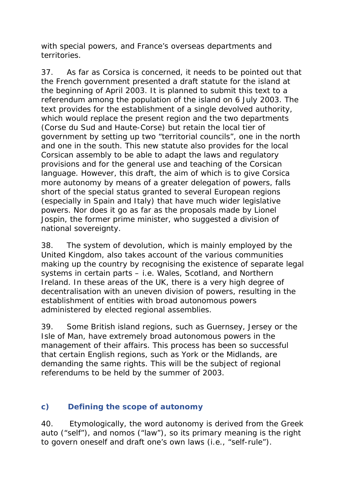with special powers, and France's overseas departments and territories.

37. As far as Corsica is concerned, it needs to be pointed out that the French government presented a draft statute for the island at the beginning of April 2003. It is planned to submit this text to a referendum among the population of the island on 6 July 2003. The text provides for the establishment of a single devolved authority, which would replace the present region and the two departments (Corse du Sud and Haute-Corse) but retain the local tier of government by setting up two "territorial councils", one in the north and one in the south. This new statute also provides for the local Corsican assembly to be able to adapt the laws and regulatory provisions and for the general use and teaching of the Corsican language. However, this draft, the aim of which is to give Corsica more autonomy by means of a greater delegation of powers, falls short of the special status granted to several European regions (especially in Spain and Italy) that have much wider legislative powers. Nor does it go as far as the proposals made by Lionel Jospin, the former prime minister, who suggested a division of national sovereignty.

38. The system of devolution, which is mainly employed by the United Kingdom, also takes account of the various communities making up the country by recognising the existence of separate legal systems in certain parts – i.e. Wales, Scotland, and Northern Ireland. In these areas of the UK, there is a very high degree of decentralisation with an uneven division of powers, resulting in the establishment of entities with broad autonomous powers administered by elected regional assemblies.

39. Some British island regions, such as Guernsey, Jersey or the Isle of Man, have extremely broad autonomous powers in the management of their affairs. This process has been so successful that certain English regions, such as York or the Midlands, are demanding the same rights. This will be the subject of regional referendums to be held by the summer of 2003.

### **c) Defining the scope of autonomy**

40. Etymologically, the word autonomy is derived from the Greek *auto* ("self"), and *nomos (*"law"), so its primary meaning is the right to govern oneself and draft one's own laws (i.e., "self-rule").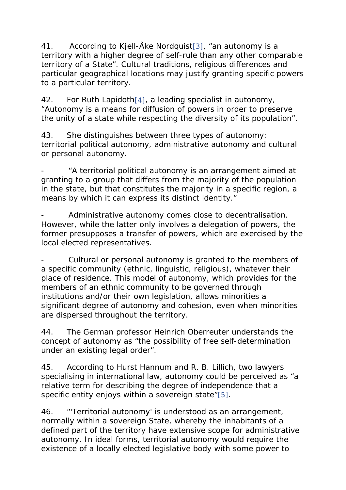41. According to Kjell-Åke Nordquist[3], "an autonomy is a territory with a higher degree of self-rule than any other comparable territory of a State". Cultural traditions, religious differences and particular geographical locations may justify granting specific powers to a particular territory.

42. For Ruth Lapidoth<sup>[4]</sup>, a leading specialist in autonomy, "Autonomy is a means for diffusion of powers in order to preserve the unity of a state while respecting the diversity of its population".

43. She distinguishes between three types of autonomy: territorial political autonomy, administrative autonomy and cultural or personal autonomy.

"A territorial political autonomy is an arrangement aimed at granting to a group that differs from the majority of the population in the state, but that constitutes the majority in a specific region, a means by which it can express its distinct identity."

Administrative autonomy comes close to decentralisation. However, while the latter only involves a delegation of powers, the former presupposes a transfer of powers, which are exercised by the local elected representatives.

Cultural or personal autonomy is granted to the members of a specific community (ethnic, linguistic, religious), whatever their place of residence. This model of autonomy, which provides for the members of an ethnic community to be governed through institutions and/or their own legislation, allows minorities a significant degree of autonomy and cohesion, even when minorities are dispersed throughout the territory.

44. The German professor Heinrich Oberreuter understands the concept of autonomy as "the possibility of free self-determination under an existing legal order".

45. According to Hurst Hannum and R. B. Lillich, two lawyers specialising in international law, autonomy could be perceived as "a relative term for describing the degree of independence that a specific entity enjoys within a sovereign state"[5].

46. "'Territorial autonomy' is understood as an arrangement, normally within a sovereign State, whereby the inhabitants of a defined part of the territory have extensive scope for administrative autonomy. In ideal forms, territorial autonomy would require the existence of a locally elected legislative body with some power to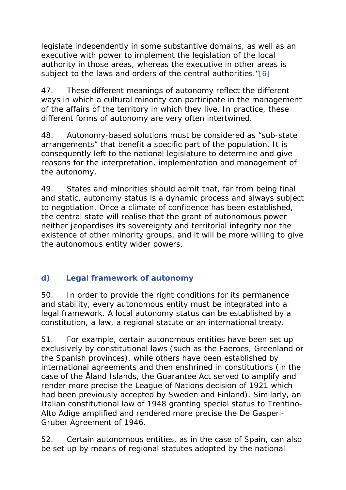legislate independently in some substantive domains, as well as an executive with power to implement the legislation of the local authority in those areas, whereas the executive in other areas is subject to the laws and orders of the central authorities."[6]

47. These different meanings of autonomy reflect the different ways in which a cultural minority can participate in the management of the affairs of the territory in which they live. In practice, these different forms of autonomy are very often intertwined.

48. Autonomy-based solutions must be considered as "sub-state arrangements" that benefit a specific part of the population. It is consequently left to the national legislature to determine and give reasons for the interpretation, implementation and management of the autonomy.

49. States and minorities should admit that, far from being final and static, autonomy status is a dynamic process and always subject to negotiation. Once a climate of confidence has been established, the central state will realise that the grant of autonomous power neither jeopardises its sovereignty and territorial integrity nor the existence of other minority groups, and it will be more willing to give the autonomous entity wider powers.

# **d) Legal framework of autonomy**

50. In order to provide the right conditions for its permanence and stability, every autonomous entity must be integrated into a legal framework. A local autonomy status can be established by a constitution, a law, a regional statute or an international treaty.

51. For example, certain autonomous entities have been set up exclusively by constitutional laws (such as the Faeroes, Greenland or the Spanish provinces), while others have been established by international agreements and then enshrined in constitutions (in the case of the Åland Islands, the Guarantee Act served to amplify and render more precise the League of Nations decision of 1921 which had been previously accepted by Sweden and Finland). Similarly, an Italian constitutional law of 1948 granting special status to Trentino-Alto Adige amplified and rendered more precise the De Gasperi-Gruber Agreement of 1946.

52. Certain autonomous entities, as in the case of Spain, can also be set up by means of regional statutes adopted by the national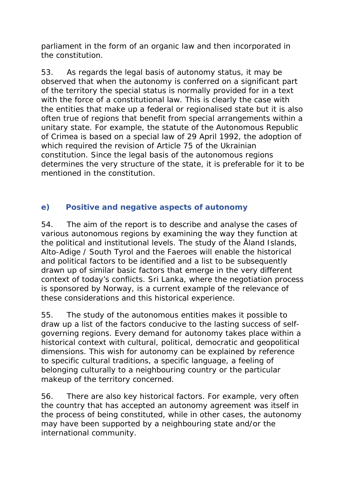parliament in the form of an organic law and then incorporated in the constitution.

53. As regards the legal basis of autonomy status, it may be observed that when the autonomy is conferred on a significant part of the territory the special status is normally provided for in a text with the force of a constitutional law. This is clearly the case with the entities that make up a federal or regionalised state but it is also often true of regions that benefit from special arrangements within a unitary state. For example, the statute of the Autonomous Republic of Crimea is based on a special law of 29 April 1992, the adoption of which required the revision of Article 75 of the Ukrainian constitution. Since the legal basis of the autonomous regions determines the very structure of the state, it is preferable for it to be mentioned in the constitution.

#### **e) Positive and negative aspects of autonomy**

54. The aim of the report is to describe and analyse the cases of various autonomous regions by examining the way they function at the political and institutional levels. The study of the Åland Islands, Alto-Adige / South Tyrol and the Faeroes will enable the historical and political factors to be identified and a list to be subsequently drawn up of similar basic factors that emerge in the very different context of today's conflicts. Sri Lanka, where the negotiation process is sponsored by Norway, is a current example of the relevance of these considerations and this historical experience.

55. The study of the autonomous entities makes it possible to draw up a list of the factors conducive to the lasting success of selfgoverning regions. Every demand for autonomy takes place within a historical context with cultural, political, democratic and geopolitical dimensions. This wish for autonomy can be explained by reference to specific cultural traditions, a specific language, a feeling of belonging culturally to a neighbouring country or the particular makeup of the territory concerned.

56. There are also key historical factors. For example, very often the country that has accepted an autonomy agreement was itself in the process of being constituted, while in other cases, the autonomy may have been supported by a neighbouring state and/or the international community.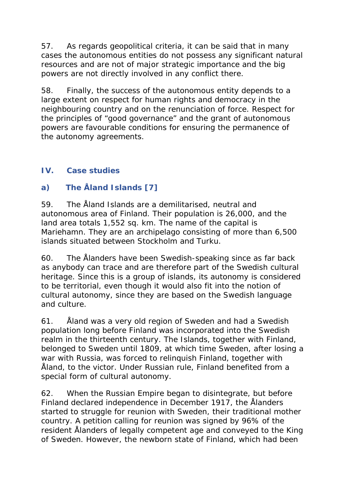57. As regards geopolitical criteria, it can be said that in many cases the autonomous entities do not possess any significant natural resources and are not of major strategic importance and the big powers are not directly involved in any conflict there.

58. Finally, the success of the autonomous entity depends to a large extent on respect for human rights and democracy in the neighbouring country and on the renunciation of force. Respect for the principles of "good governance" and the grant of autonomous powers are favourable conditions for ensuring the permanence of the autonomy agreements.

### **IV. Case studies**

## **a) The Åland Islands [7]**

59. The Åland Islands are a demilitarised, neutral and autonomous area of Finland. Their population is 26,000, and the land area totals 1,552 sq. km. The name of the capital is Mariehamn. They are an archipelago consisting of more than 6,500 islands situated between Stockholm and Turku.

60. The Ålanders have been Swedish-speaking since as far back as anybody can trace and are therefore part of the Swedish cultural heritage. Since this is a group of islands, its autonomy is considered to be territorial, even though it would also fit into the notion of cultural autonomy, since they are based on the Swedish language and culture.

61. Åland was a very old region of Sweden and had a Swedish population long before Finland was incorporated into the Swedish realm in the thirteenth century. The Islands, together with Finland, belonged to Sweden until 1809, at which time Sweden, after losing a war with Russia, was forced to relinquish Finland, together with Åland, to the victor. Under Russian rule, Finland benefited from a special form of cultural autonomy.

62. When the Russian Empire began to disintegrate, but before Finland declared independence in December 1917, the Ålanders started to struggle for reunion with Sweden, their traditional mother country. A petition calling for reunion was signed by 96% of the resident Ålanders of legally competent age and conveyed to the King of Sweden. However, the newborn state of Finland, which had been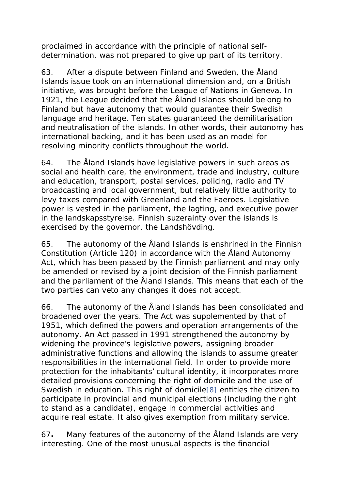proclaimed in accordance with the principle of national selfdetermination, was not prepared to give up part of its territory.

63. After a dispute between Finland and Sweden, the Åland Islands issue took on an international dimension and, on a British initiative, was brought before the League of Nations in Geneva. In 1921, the League decided that the Åland Islands should belong to Finland but have autonomy that would guarantee their Swedish language and heritage. Ten states guaranteed the demilitarisation and neutralisation of the islands. In other words, their autonomy has international backing, and it has been used as an model for resolving minority conflicts throughout the world.

64. The Åland Islands have legislative powers in such areas as social and health care, the environment, trade and industry, culture and education, transport, postal services, policing, radio and TV broadcasting and local government, but relatively little authority to levy taxes compared with Greenland and the Faeroes. Legislative power is vested in the parliament, the *lagting,* and executive power in the *landskapsstyrelse.* Finnish suzerainty over the islands is exercised by the governor, the *Landshövding*.

65. The autonomy of the Åland Islands is enshrined in the Finnish Constitution (Article 120) in accordance with the Åland Autonomy Act, which has been passed by the Finnish parliament and may only be amended or revised by a joint decision of the Finnish parliament and the parliament of the Åland Islands. This means that each of the two parties can veto any changes it does not accept.

66. The autonomy of the Åland Islands has been consolidated and broadened over the years. The Act was supplemented by that of 1951, which defined the powers and operation arrangements of the autonomy. An Act passed in 1991 strengthened the autonomy by widening the province's legislative powers, assigning broader administrative functions and allowing the islands to assume greater responsibilities in the international field. In order to provide more protection for the inhabitants' cultural identity, it incorporates more detailed provisions concerning the right of domicile and the use of Swedish in education. This right of domicile[8] entitles the citizen to participate in provincial and municipal elections (including the right to stand as a candidate), engage in commercial activities and acquire real estate. It also gives exemption from military service.

67**.** Many features of the autonomy of the Åland Islands are very interesting. One of the most unusual aspects is the financial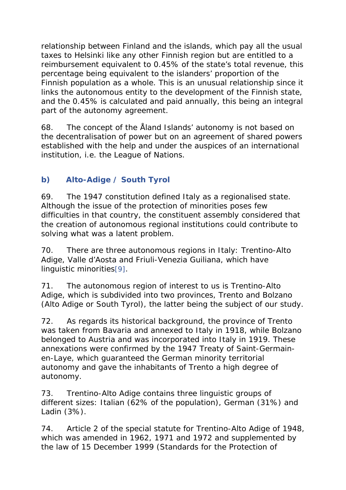relationship between Finland and the islands, which pay all the usual taxes to Helsinki like any other Finnish region but are entitled to a reimbursement equivalent to 0.45% of the state's total revenue, this percentage being equivalent to the islanders' proportion of the Finnish population as a whole. This is an unusual relationship since it links the autonomous entity to the development of the Finnish state, and the 0.45% is calculated and paid annually, this being an integral part of the autonomy agreement.

68. The concept of the Åland Islands' autonomy is not based on the decentralisation of power but on an agreement of shared powers established with the help and under the auspices of an international institution, i.e. the League of Nations.

# **b) Alto-Adige / South Tyrol**

69. The 1947 constitution defined Italy as a regionalised state. Although the issue of the protection of minorities poses few difficulties in that country, the constituent assembly considered that the creation of autonomous regional institutions could contribute to solving what was a latent problem.

70. There are three autonomous regions in Italy: Trentino-Alto Adige, Valle d'Aosta and Friuli-Venezia Guiliana, which have linguistic minorities[9].

71. The autonomous region of interest to us is Trentino-Alto Adige, which is subdivided into two provinces, Trento and Bolzano (Alto Adige or South Tyrol), the latter being the subject of our study.

72. As regards its historical background, the province of Trento was taken from Bavaria and annexed to Italy in 1918, while Bolzano belonged to Austria and was incorporated into Italy in 1919. These annexations were confirmed by the 1947 Treaty of Saint-Germainen-Laye, which guaranteed the German minority territorial autonomy and gave the inhabitants of Trento a high degree of autonomy.

73. Trentino-Alto Adige contains three linguistic groups of different sizes: Italian (62% of the population), German (31%) and Ladin (3%).

74. Article 2 of the special statute for Trentino-Alto Adige of 1948, which was amended in 1962, 1971 and 1972 and supplemented by the law of 15 December 1999 *(Standards for the* P*rotection of*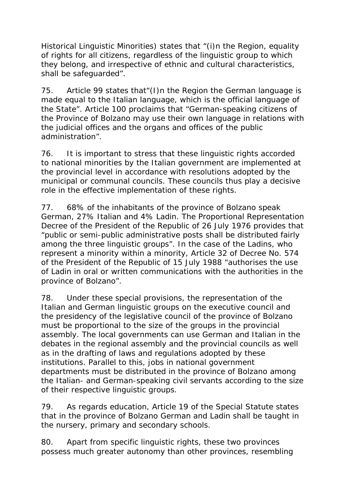*Historical Linguistic Minorities)* states that "(i)n the Region, equality of rights for all citizens, regardless of the linguistic group to which they belong, and irrespective of ethnic and cultural characteristics, shall be safeguarded".

75. Article 99 states that"(I)n the Region the German language is made equal to the Italian language, which is the official language of the State". Article 100 proclaims that "German-speaking citizens of the Province of Bolzano may use their own language in relations with the judicial offices and the organs and offices of the public administration".

76. It is important to stress that these linguistic rights accorded to national minorities by the Italian government are implemented at the provincial level in accordance with resolutions adopted by the municipal or communal councils. These councils thus play a decisive role in the effective implementation of these rights.

77. 68% of the inhabitants of the province of Bolzano speak German, 27% Italian and 4% Ladin. The Proportional Representation Decree of the President of the Republic of 26 July 1976 provides that "public or semi-public administrative posts shall be distributed fairly among the three linguistic groups". In the case of the Ladins, who represent a minority within a minority, Article 32 of Decree No. 574 of the President of the Republic of 15 July 1988 "authorises the use of Ladin in oral or written communications with the authorities in the province of Bolzano".

78. Under these special provisions, the representation of the Italian and German linguistic groups on the executive council and the presidency of the legislative council of the province of Bolzano must be proportional to the size of the groups in the provincial assembly. The local governments can use German and Italian in the debates in the regional assembly and the provincial councils as well as in the drafting of laws and regulations adopted by these institutions. Parallel to this, jobs in national government departments must be distributed in the province of Bolzano among the Italian- and German-speaking civil servants according to the size of their respective linguistic groups.

79. As regards education, Article 19 of the Special Statute states that in the province of Bolzano German and Ladin shall be taught in the nursery, primary and secondary schools.

80. Apart from specific linguistic rights, these two provinces possess much greater autonomy than other provinces, resembling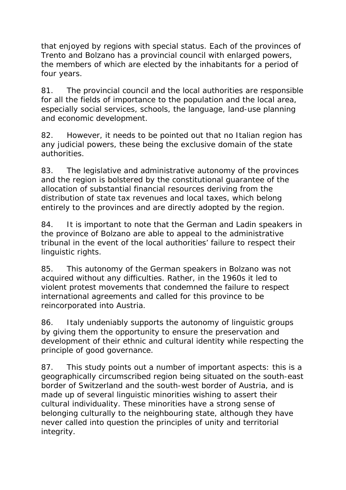that enjoyed by regions with special status. Each of the provinces of Trento and Bolzano has a provincial council with enlarged powers, the members of which are elected by the inhabitants for a period of four years.

81. The provincial council and the local authorities are responsible for all the fields of importance to the population and the local area, especially social services, schools, the language, land-use planning and economic development.

82. However, it needs to be pointed out that no Italian region has any judicial powers, these being the exclusive domain of the state authorities.

83. The legislative and administrative autonomy of the provinces and the region is bolstered by the constitutional guarantee of the allocation of substantial financial resources deriving from the distribution of state tax revenues and local taxes, which belong entirely to the provinces and are directly adopted by the region.

84. It is important to note that the German and Ladin speakers in the province of Bolzano are able to appeal to the administrative tribunal in the event of the local authorities' failure to respect their linguistic rights.

85. This autonomy of the German speakers in Bolzano was not acquired without any difficulties. Rather, in the 1960s it led to violent protest movements that condemned the failure to respect international agreements and called for this province to be reincorporated into Austria.

86. Italy undeniably supports the autonomy of linguistic groups by giving them the opportunity to ensure the preservation and development of their ethnic and cultural identity while respecting the principle of good governance.

87. This study points out a number of important aspects: this is a geographically circumscribed region being situated on the south-east border of Switzerland and the south-west border of Austria, and is made up of several linguistic minorities wishing to assert their cultural individuality. These minorities have a strong sense of belonging culturally to the neighbouring state, although they have never called into question the principles of unity and territorial integrity.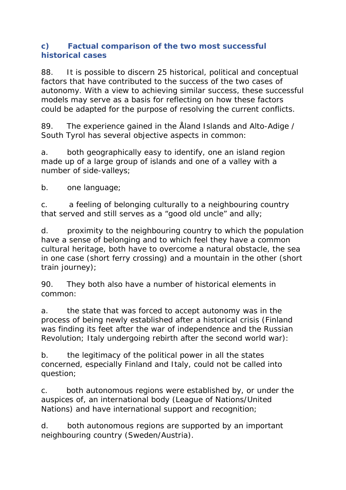#### **c) Factual comparison of the two most successful historical cases**

88. It is possible to discern 25 historical, political and conceptual factors that have contributed to the success of the two cases of autonomy. With a view to achieving similar success, these successful models may serve as a basis for reflecting on how these factors could be adapted for the purpose of resolving the current conflicts.

89. The experience gained in the Åland Islands and Alto-Adige / South Tyrol has several objective aspects in common:

a. both geographically easy to identify, one an island region made up of a large group of islands and one of a valley with a number of side-valleys;

b. one language;

c. a feeling of belonging culturally to a neighbouring country that served and still serves as a "good old uncle" and ally;

d. proximity to the neighbouring country to which the population have a sense of belonging and to which feel they have a common cultural heritage, both have to overcome a natural obstacle, the sea in one case (short ferry crossing) and a mountain in the other (short train journey);

90. They both also have a number of historical elements in common:

a. the state that was forced to accept autonomy was in the process of being newly established after a historical crisis (Finland was finding its feet after the war of independence and the Russian Revolution; Italy undergoing rebirth after the second world war):

b. the legitimacy of the political power in all the states concerned, especially Finland and Italy, could not be called into question;

c. both autonomous regions were established by, or under the auspices of, an international body (League of Nations/United Nations) and have international support and recognition;

d. both autonomous regions are supported by an important neighbouring country (Sweden/Austria).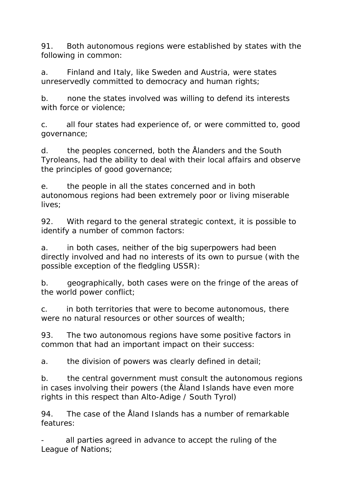91. Both autonomous regions were established by states with the following in common:

a. Finland and Italy, like Sweden and Austria, were states unreservedly committed to democracy and human rights;

b. none the states involved was willing to defend its interests with force or violence:

c. all four states had experience of, or were committed to, good governance;

d. the peoples concerned, both the Ålanders and the South Tyroleans, had the ability to deal with their local affairs and observe the principles of good governance;

e. the people in all the states concerned and in both autonomous regions had been extremely poor or living miserable lives;

92. With regard to the general strategic context, it is possible to identify a number of common factors:

a. in both cases, neither of the big superpowers had been directly involved and had no interests of its own to pursue (with the possible exception of the fledgling USSR):

b. geographically, both cases were on the fringe of the areas of the world power conflict;

c. in both territories that were to become autonomous, there were no natural resources or other sources of wealth;

93. The two autonomous regions have some positive factors in common that had an important impact on their success:

a. the division of powers was clearly defined in detail;

b. the central government must consult the autonomous regions in cases involving their powers (the Åland Islands have even more rights in this respect than Alto-Adige / South Tyrol)

94. The case of the Åland Islands has a number of remarkable features:

all parties agreed in advance to accept the ruling of the League of Nations;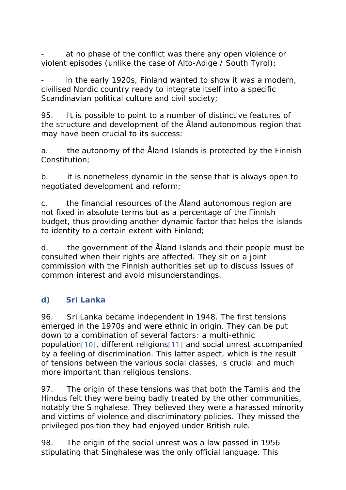at no phase of the conflict was there any open violence or violent episodes (unlike the case of Alto-Adige / South Tyrol);

in the early 1920s, Finland wanted to show it was a modern, civilised Nordic country ready to integrate itself into a specific Scandinavian political culture and civil society;

95. It is possible to point to a number of distinctive features of the structure and development of the Åland autonomous region that may have been crucial to its success:

a. the autonomy of the Åland Islands is protected by the Finnish Constitution;

b. it is nonetheless dynamic in the sense that is always open to negotiated development and reform;

c. the financial resources of the Åland autonomous region are not fixed in absolute terms but as a percentage of the Finnish budget, thus providing another dynamic factor that helps the islands to identity to a certain extent with Finland;

d. the government of the Åland Islands and their people must be consulted when their rights are affected. They sit on a joint commission with the Finnish authorities set up to discuss issues of common interest and avoid misunderstandings.

# **d) Sri Lanka**

96. Sri Lanka became independent in 1948. The first tensions emerged in the 1970s and were ethnic in origin. They can be put down to a combination of several factors: a multi-ethnic population[10], different religions[11] and social unrest accompanied by a feeling of discrimination. This latter aspect, which is the result of tensions between the various social classes, is crucial and much more important than religious tensions.

97. The origin of these tensions was that both the Tamils and the Hindus felt they were being badly treated by the other communities, notably the Singhalese. They believed they were a harassed minority and victims of violence and discriminatory policies. They missed the privileged position they had enjoyed under British rule.

98. The origin of the social unrest was a law passed in 1956 stipulating that Singhalese was the only official language. This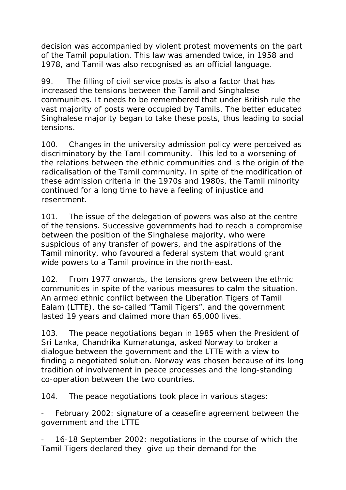decision was accompanied by violent protest movements on the part of the Tamil population. This law was amended twice, in 1958 and 1978, and Tamil was also recognised as an official language.

99. The filling of civil service posts is also a factor that has increased the tensions between the Tamil and Singhalese communities. It needs to be remembered that under British rule the vast majority of posts were occupied by Tamils. The better educated Singhalese majority began to take these posts, thus leading to social tensions.

100. Changes in the university admission policy were perceived as discriminatory by the Tamil community. This led to a worsening of the relations between the ethnic communities and is the origin of the radicalisation of the Tamil community. In spite of the modification of these admission criteria in the 1970s and 1980s, the Tamil minority continued for a long time to have a feeling of injustice and resentment.

101. The issue of the delegation of powers was also at the centre of the tensions. Successive governments had to reach a compromise between the position of the Singhalese majority, who were suspicious of any transfer of powers, and the aspirations of the Tamil minority, who favoured a federal system that would grant wide powers to a Tamil province in the north-east.

102. From 1977 onwards, the tensions grew between the ethnic communities in spite of the various measures to calm the situation. An armed ethnic conflict between the Liberation Tigers of Tamil Ealam (LTTE), the so-called "Tamil Tigers", and the government lasted 19 years and claimed more than 65,000 lives.

103. The peace negotiations began in 1985 when the President of Sri Lanka, Chandrika Kumaratunga, asked Norway to broker a dialogue between the government and the LTTE with a view to finding a negotiated solution. Norway was chosen because of its long tradition of involvement in peace processes and the long-standing co-operation between the two countries.

104. The peace negotiations took place in various stages:

February 2002: signature of a ceasefire agreement between the government and the LTTE

16-18 September 2002: negotiations in the course of which the Tamil Tigers declared they give up their demand for the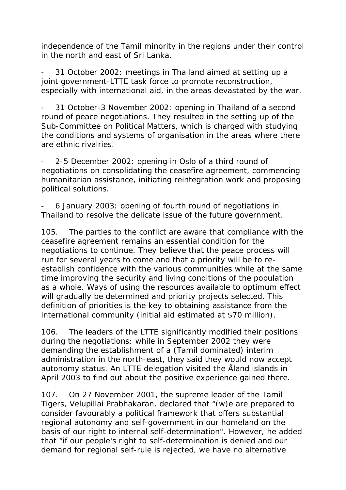independence of the Tamil minority in the regions under their control in the north and east of Sri Lanka.

31 October 2002: meetings in Thailand aimed at setting up a joint government-LTTE task force to promote reconstruction, especially with international aid, in the areas devastated by the war.

31 October-3 November 2002: opening in Thailand of a second round of peace negotiations. They resulted in the setting up of the Sub-Committee on Political Matters, which is charged with studying the conditions and systems of organisation in the areas where there are ethnic rivalries.

2-5 December 2002: opening in Oslo of a third round of negotiations on consolidating the ceasefire agreement, commencing humanitarian assistance, initiating reintegration work and proposing political solutions.

- 6 January 2003: opening of fourth round of negotiations in Thailand to resolve the delicate issue of the future government.

105. The parties to the conflict are aware that compliance with the ceasefire agreement remains an essential condition for the negotiations to continue. They believe that the peace process will run for several years to come and that a priority will be to reestablish confidence with the various communities while at the same time improving the security and living conditions of the population as a whole. Ways of using the resources available to optimum effect will gradually be determined and priority projects selected. This definition of priorities is the key to obtaining assistance from the international community (initial aid estimated at \$70 million).

106. The leaders of the LTTE significantly modified their positions during the negotiations: while in September 2002 they were demanding the establishment of a (Tamil dominated) interim administration in the north-east, they said they would now accept autonomy status. An LTTE delegation visited the Åland islands in April 2003 to find out about the positive experience gained there.

107. On 27 November 2001, the supreme leader of the Tamil Tigers, Velupillai Prabhakaran, declared that "(w)e are prepared to consider favourably a political framework that offers substantial regional autonomy and self-government in our homeland on the basis of our right to internal self-determination". However, he added that "if our people's right to self-determination is denied and our demand for regional self-rule is rejected, we have no alternative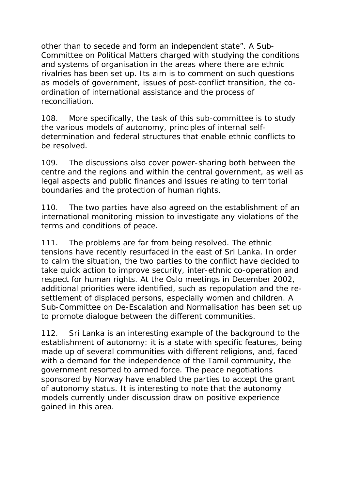other than to secede and form an independent state". A Sub-Committee on Political Matters charged with studying the conditions and systems of organisation in the areas where there are ethnic rivalries has been set up. Its aim is to comment on such questions as models of government, issues of post-conflict transition, the coordination of international assistance and the process of reconciliation.

108. More specifically, the task of this sub-committee is to study the various models of autonomy, principles of internal selfdetermination and federal structures that enable ethnic conflicts to be resolved.

109. The discussions also cover power-sharing both between the centre and the regions and within the central government, as well as legal aspects and public finances and issues relating to territorial boundaries and the protection of human rights.

110. The two parties have also agreed on the establishment of an international monitoring mission to investigate any violations of the terms and conditions of peace.

111. The problems are far from being resolved. The ethnic tensions have recently resurfaced in the east of Sri Lanka. In order to calm the situation, the two parties to the conflict have decided to take quick action to improve security, inter-ethnic co-operation and respect for human rights. At the Oslo meetings in December 2002, additional priorities were identified, such as repopulation and the resettlement of displaced persons, especially women and children. A Sub-Committee on De-Escalation and Normalisation has been set up to promote dialogue between the different communities.

112. Sri Lanka is an interesting example of the background to the establishment of autonomy: it is a state with specific features, being made up of several communities with different religions, and, faced with a demand for the independence of the Tamil community, the government resorted to armed force. The peace negotiations sponsored by Norway have enabled the parties to accept the grant of autonomy status. It is interesting to note that the autonomy models currently under discussion draw on positive experience gained in this area.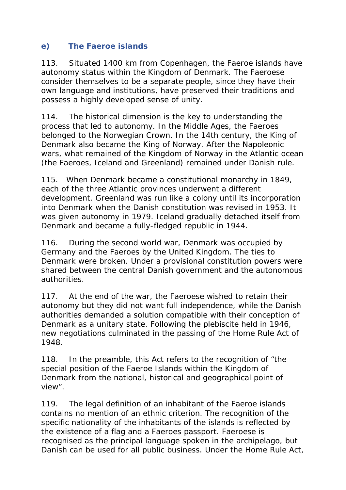### **e) The Faeroe islands**

113. Situated 1400 km from Copenhagen, the Faeroe islands have autonomy status within the Kingdom of Denmark. The Faeroese consider themselves to be a separate people, since they have their own language and institutions, have preserved their traditions and possess a highly developed sense of unity.

114. The historical dimension is the key to understanding the process that led to autonomy. In the Middle Ages, the Faeroes belonged to the Norwegian Crown. In the 14th century, the King of Denmark also became the King of Norway. After the Napoleonic wars, what remained of the Kingdom of Norway in the Atlantic ocean (the Faeroes, Iceland and Greenland) remained under Danish rule.

115. When Denmark became a constitutional monarchy in 1849, each of the three Atlantic provinces underwent a different development. Greenland was run like a colony until its incorporation into Denmark when the Danish constitution was revised in 1953. It was given autonomy in 1979. Iceland gradually detached itself from Denmark and became a fully-fledged republic in 1944.

116. During the second world war, Denmark was occupied by Germany and the Faeroes by the United Kingdom. The ties to Denmark were broken. Under a provisional constitution powers were shared between the central Danish government and the autonomous authorities.

117. At the end of the war, the Faeroese wished to retain their autonomy but they did not want full independence, while the Danish authorities demanded a solution compatible with their conception of Denmark as a unitary state. Following the plebiscite held in 1946, new negotiations culminated in the passing of the Home Rule Act of 1948.

118. In the preamble, this Act refers to the recognition of "the special position of the Faeroe Islands within the Kingdom of Denmark from the national, historical and geographical point of view".

119. The legal definition of an inhabitant of the Faeroe islands contains no mention of an ethnic criterion. The recognition of the specific nationality of the inhabitants of the islands is reflected by the existence of a flag and a Faeroes passport. Faeroese is recognised as the principal language spoken in the archipelago, but Danish can be used for all public business. Under the Home Rule Act,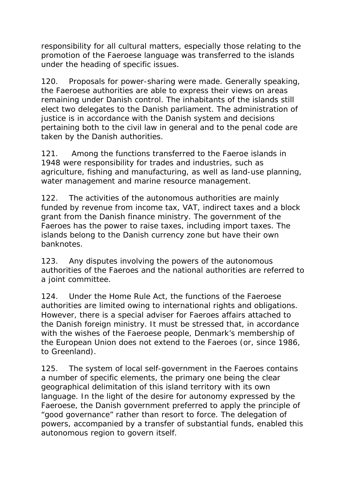responsibility for all cultural matters, especially those relating to the promotion of the Faeroese language was transferred to the islands under the heading of specific issues.

120. Proposals for power-sharing were made. Generally speaking, the Faeroese authorities are able to express their views on areas remaining under Danish control. The inhabitants of the islands still elect two delegates to the Danish parliament. The administration of justice is in accordance with the Danish system and decisions pertaining both to the civil law in general and to the penal code are taken by the Danish authorities.

121. Among the functions transferred to the Faeroe islands in 1948 were responsibility for trades and industries, such as agriculture, fishing and manufacturing, as well as land-use planning, water management and marine resource management.

122. The activities of the autonomous authorities are mainly funded by revenue from income tax, VAT, indirect taxes and a block grant from the Danish finance ministry. The government of the Faeroes has the power to raise taxes, including import taxes. The islands belong to the Danish currency zone but have their own banknotes.

123. Any disputes involving the powers of the autonomous authorities of the Faeroes and the national authorities are referred to a joint committee.

124. Under the Home Rule Act, the functions of the Faeroese authorities are limited owing to international rights and obligations. However, there is a special adviser for Faeroes affairs attached to the Danish foreign ministry. It must be stressed that, in accordance with the wishes of the Faeroese people, Denmark's membership of the European Union does not extend to the Faeroes (or, since 1986, to Greenland).

125. The system of local self-government in the Faeroes contains a number of specific elements, the primary one being the clear geographical delimitation of this island territory with its own language. In the light of the desire for autonomy expressed by the Faeroese, the Danish government preferred to apply the principle of "good governance" rather than resort to force. The delegation of powers, accompanied by a transfer of substantial funds, enabled this autonomous region to govern itself.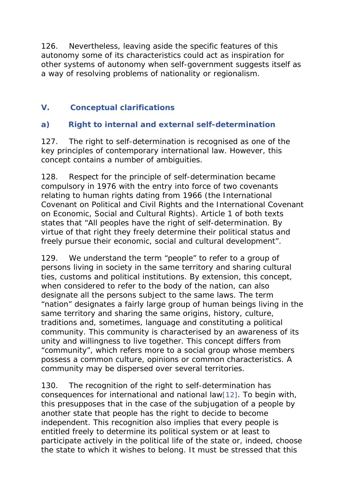126. Nevertheless, leaving aside the specific features of this autonomy some of its characteristics could act as inspiration for other systems of autonomy when self-government suggests itself as a way of resolving problems of nationality or regionalism.

### **V. Conceptual clarifications**

# **a) Right to internal and external self-determination**

127. The right to self-determination is recognised as one of the key principles of contemporary international law. However, this concept contains a number of ambiguities.

128. Respect for the principle of self-determination became compulsory in 1976 with the entry into force of two covenants relating to human rights dating from 1966 (the International Covenant on Political and Civil Rights and the International Covenant on Economic, Social and Cultural Rights). Article 1 of both texts states that "All peoples have the right of self-determination. By virtue of that right they freely determine their political status and freely pursue their economic, social and cultural development".

129. We understand the term "people" to refer to a group of persons living in society in the same territory and sharing cultural ties, customs and political institutions. By extension, this concept, when considered to refer to the body of the nation, can also designate all the persons subject to the same laws. The term "nation" designates a fairly large group of human beings living in the same territory and sharing the same origins, history, culture, traditions and, sometimes, language and constituting a political community. This community is characterised by an awareness of its unity and willingness to live together. This concept differs from "community", which refers more to a social group whose members possess a common culture, opinions or common characteristics. A community may be dispersed over several territories.

130. The recognition of the right to self-determination has consequences for international and national law[12]. To begin with, this presupposes that in the case of the subjugation of a people by another state that people has the right to decide to become independent. This recognition also implies that every people is entitled freely to determine its political system or at least to participate actively in the political life of the state or, indeed, choose the state to which it wishes to belong. It must be stressed that this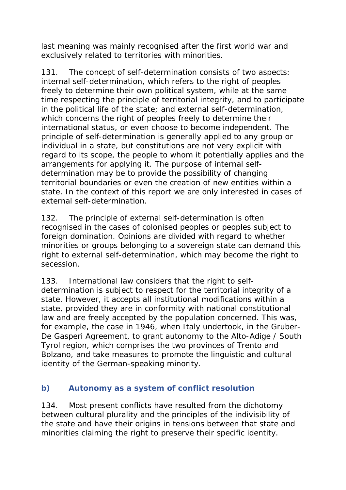last meaning was mainly recognised after the first world war and exclusively related to territories with minorities.

131. The concept of self-determination consists of two aspects: internal self-determination, which refers to the right of peoples freely to determine their own political system, while at the same time respecting the principle of territorial integrity, and to participate in the political life of the state; and external self-determination, which concerns the right of peoples freely to determine their international status, or even choose to become independent. The principle of self-determination is generally applied to any group or individual in a state, but constitutions are not very explicit with regard to its scope, the people to whom it potentially applies and the arrangements for applying it. The purpose of internal selfdetermination may be to provide the possibility of changing territorial boundaries or even the creation of new entities within a state. In the context of this report we are only interested in cases of external self-determination.

132. The principle of external self-determination is often recognised in the cases of colonised peoples or peoples subject to foreign domination. Opinions are divided with regard to whether minorities or groups belonging to a sovereign state can demand this right to external self-determination, which may become the right to secession.

133. International law considers that the right to selfdetermination is subject to respect for the territorial integrity of a state. However, it accepts all institutional modifications within a state, provided they are in conformity with national constitutional law and are freely accepted by the population concerned. This was, for example, the case in 1946, when Italy undertook, in the Gruber-De Gasperi Agreement, to grant autonomy to the Alto-Adige / South Tyrol region, which comprises the two provinces of Trento and Bolzano, and take measures to promote the linguistic and cultural identity of the German-speaking minority.

### **b) Autonomy as a system of conflict resolution**

134. Most present conflicts have resulted from the dichotomy between cultural plurality and the principles of the indivisibility of the state and have their origins in tensions between that state and minorities claiming the right to preserve their specific identity.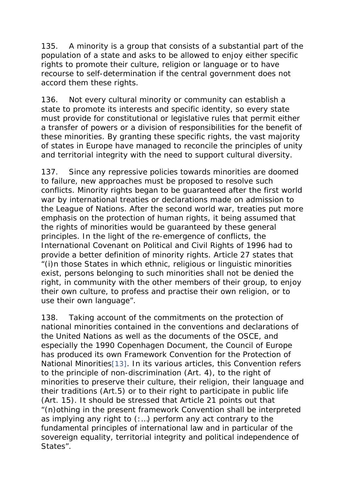135. A minority is a group that consists of a substantial part of the population of a state and asks to be allowed to enjoy either specific rights to promote their culture, religion or language or to have recourse to self-determination if the central government does not accord them these rights.

136. Not every cultural minority or community can establish a state to promote its interests and specific identity, so every state must provide for constitutional or legislative rules that permit either a transfer of powers or a division of responsibilities for the benefit of these minorities. By granting these specific rights, the vast majority of states in Europe have managed to reconcile the principles of unity and territorial integrity with the need to support cultural diversity.

137. Since any repressive policies towards minorities are doomed to failure, new approaches must be proposed to resolve such conflicts. Minority rights began to be guaranteed after the first world war by international treaties or declarations made on admission to the League of Nations. After the second world war, treaties put more emphasis on the protection of human rights, it being assumed that the rights of minorities would be guaranteed by these general principles. In the light of the re-emergence of conflicts, the International Covenant on Political and Civil Rights of 1996 had to provide a better definition of minority rights. Article 27 states that "(i)n those States in which ethnic, religious or linguistic minorities exist, persons belonging to such minorities shall not be denied the right, in community with the other members of their group, to enjoy their own culture, to profess and practise their own religion, or to use their own language".

138. Taking account of the commitments on the protection of national minorities contained in the conventions and declarations of the United Nations as well as the documents of the OSCE, and especially the 1990 Copenhagen Document, the Council of Europe has produced its own Framework Convention for the Protection of National Minorities[13]. In its various articles, this Convention refers to the principle of non-discrimination (Art. 4), to the right of minorities to preserve their culture, their religion, their language and their traditions (Art.5) or to their right to participate in public life (Art. 15). It should be stressed that Article 21 points out that "(n)othing in the present framework Convention shall be interpreted as implying any right to (:…) perform any act contrary to the fundamental principles of international law and in particular of the sovereign equality, territorial integrity and political independence of States".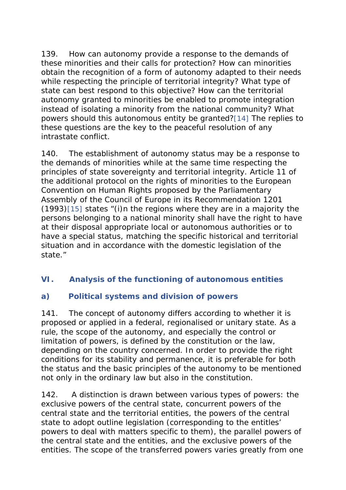139. How can autonomy provide a response to the demands of these minorities and their calls for protection? How can minorities obtain the recognition of a form of autonomy adapted to their needs while respecting the principle of territorial integrity? What type of state can best respond to this objective? How can the territorial autonomy granted to minorities be enabled to promote integration instead of isolating a minority from the national community? What powers should this autonomous entity be granted?[14] The replies to these questions are the key to the peaceful resolution of any intrastate conflict.

140. The establishment of autonomy status may be a response to the demands of minorities while at the same time respecting the principles of state sovereignty and territorial integrity. Article 11 of the additional protocol on the rights of minorities to the European Convention on Human Rights proposed by the Parliamentary Assembly of the Council of Europe in its Recommendation 1201 (1993)[15] states "(i)n the regions where they are in a majority the persons belonging to a national minority shall have the right to have at their disposal appropriate local or autonomous authorities or to have a special status, matching the specific historical and territorial situation and in accordance with the domestic legislation of the state."

### **VI. Analysis of the functioning of autonomous entities**

### **a) Political systems and division of powers**

141. The concept of autonomy differs according to whether it is proposed or applied in a federal, regionalised or unitary state. As a rule, the scope of the autonomy, and especially the control or limitation of powers, is defined by the constitution or the law, depending on the country concerned. In order to provide the right conditions for its stability and permanence, it is preferable for both the status and the basic principles of the autonomy to be mentioned not only in the ordinary law but also in the constitution.

142. A distinction is drawn between various types of powers: the exclusive powers of the central state, concurrent powers of the central state and the territorial entities, the powers of the central state to adopt outline legislation (corresponding to the entitles' powers to deal with matters specific to them), the parallel powers of the central state and the entities, and the exclusive powers of the entities. The scope of the transferred powers varies greatly from one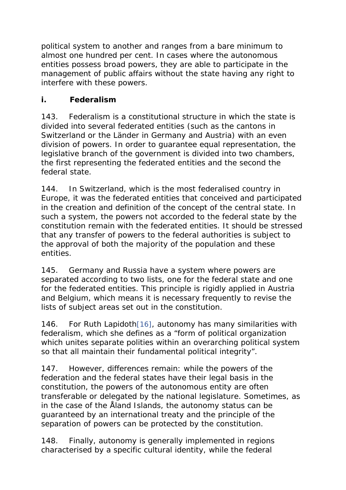political system to another and ranges from a bare minimum to almost one hundred per cent. In cases where the autonomous entities possess broad powers, they are able to participate in the management of public affairs without the state having any right to interfere with these powers.

## *i. Federalism*

143. Federalism is a constitutional structure in which the state is divided into several federated entities (such as the cantons in Switzerland or the *Länder* in Germany and Austria) with an even division of powers. In order to guarantee equal representation, the legislative branch of the government is divided into two chambers, the first representing the federated entities and the second the federal state.

144. In Switzerland, which is the most federalised country in Europe, it was the federated entities that conceived and participated in the creation and definition of the concept of the central state. In such a system, the powers not accorded to the federal state by the constitution remain with the federated entities. It should be stressed that any transfer of powers to the federal authorities is subject to the approval of both the majority of the population and these entities.

145. Germany and Russia have a system where powers are separated according to two lists, one for the federal state and one for the federated entities. This principle is rigidly applied in Austria and Belgium, which means it is necessary frequently to revise the lists of subject areas set out in the constitution.

146. For Ruth Lapidoth[16], autonomy has many similarities with federalism, which she defines as a "form of political organization which unites separate polities within an overarching political system so that all maintain their fundamental political integrity".

147. However, differences remain: while the powers of the federation and the federal states have their legal basis in the constitution, the powers of the autonomous entity are often transferable or delegated by the national legislature. Sometimes, as in the case of the Åland Islands, the autonomy status can be guaranteed by an international treaty and the principle of the separation of powers can be protected by the constitution.

148. Finally, autonomy is generally implemented in regions characterised by a specific cultural identity, while the federal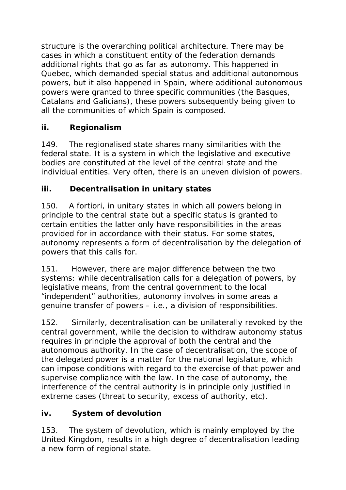structure is the overarching political architecture. There may be cases in which a constituent entity of the federation demands additional rights that go as far as autonomy. This happened in Quebec, which demanded special status and additional autonomous powers, but it also happened in Spain, where additional autonomous powers were granted to three specific communities (the Basques, Catalans and Galicians), these powers subsequently being given to all the communities of which Spain is composed.

# *ii. Regionalism*

149. The regionalised state shares many similarities with the federal state. It is a system in which the legislative and executive bodies are constituted at the level of the central state and the individual entities. Very often, there is an uneven division of powers.

## *iii. Decentralisation in unitary states*

150. A fortiori, in unitary states in which all powers belong in principle to the central state but a specific status is granted to certain entities the latter only have responsibilities in the areas provided for in accordance with their status. For some states, autonomy represents a form of decentralisation by the delegation of powers that this calls for.

151. However, there are major difference between the two systems: while decentralisation calls for a delegation of powers, by legislative means, from the central government to the local "independent" authorities, autonomy involves in some areas a genuine transfer of powers – i.e., a division of responsibilities.

152. Similarly, decentralisation can be unilaterally revoked by the central government, while the decision to withdraw autonomy status requires in principle the approval of both the central and the autonomous authority. In the case of decentralisation, the scope of the delegated power is a matter for the national legislature, which can impose conditions with regard to the exercise of that power and supervise compliance with the law. In the case of autonomy, the interference of the central authority is in principle only justified in extreme cases (threat to security, excess of authority, etc).

# *iv. System of devolution*

153. The system of devolution, which is mainly employed by the United Kingdom, results in a high degree of decentralisation leading a new form of regional state.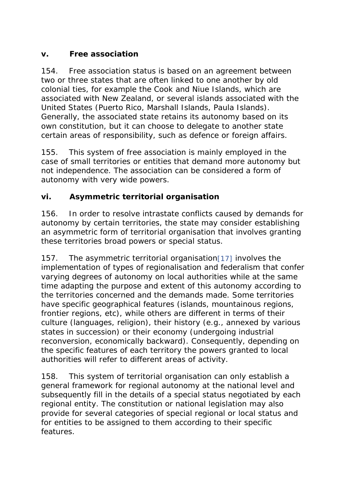# *v. Free association*

154. Free association status is based on an agreement between two or three states that are often linked to one another by old colonial ties, for example the Cook and Niue Islands, which are associated with New Zealand, or several islands associated with the United States (Puerto Rico, Marshall Islands, Paula Islands). Generally, the associated state retains its autonomy based on its own constitution, but it can choose to delegate to another state certain areas of responsibility, such as defence or foreign affairs.

155. This system of free association is mainly employed in the case of small territories or entities that demand more autonomy but not independence. The association can be considered a form of autonomy with very wide powers.

## *vi. Asymmetric territorial organisation*

156. In order to resolve intrastate conflicts caused by demands for autonomy by certain territories, the state may consider establishing an asymmetric form of territorial organisation that involves granting these territories broad powers or special status.

157. The asymmetric territorial organisation[17] involves the implementation of types of regionalisation and federalism that confer varying degrees of autonomy on local authorities while at the same time adapting the purpose and extent of this autonomy according to the territories concerned and the demands made. Some territories have specific geographical features (islands, mountainous regions, frontier regions, etc), while others are different in terms of their culture (languages, religion), their history (e.g., annexed by various states in succession) or their economy (undergoing industrial reconversion, economically backward). Consequently, depending on the specific features of each territory the powers granted to local authorities will refer to different areas of activity.

158. This system of territorial organisation can only establish a general framework for regional autonomy at the national level and subsequently fill in the details of a special status negotiated by each regional entity. The constitution or national legislation may also provide for several categories of special regional or local status and for entities to be assigned to them according to their specific features.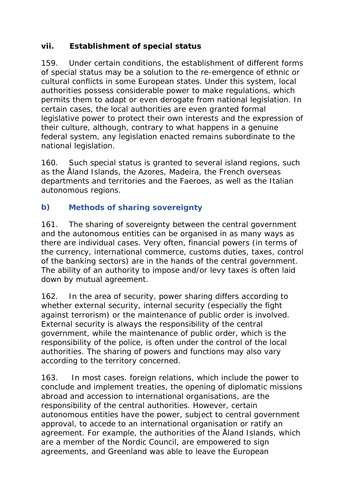# *vii. Establishment of special status*

159. Under certain conditions, the establishment of different forms of special status may be a solution to the re-emergence of ethnic or cultural conflicts in some European states. Under this system, local authorities possess considerable power to make regulations, which permits them to adapt or even derogate from national legislation. In certain cases, the local authorities are even granted formal legislative power to protect their own interests and the expression of their culture, although, contrary to what happens in a genuine federal system, any legislation enacted remains subordinate to the national legislation.

160. Such special status is granted to several island regions, such as the Åland Islands, the Azores, Madeira, the French overseas departments and territories and the Faeroes, as well as the Italian autonomous regions.

## **b)** *Methods of sharing sovereignty*

161. The sharing of sovereignty between the central government and the autonomous entities can be organised in as many ways as there are individual cases. Very often, financial powers (in terms of the currency, international commerce, customs duties, taxes, control of the banking sectors) are in the hands of the central government. The ability of an authority to impose and/or levy taxes is often laid down by mutual agreement.

162. In the area of security, power sharing differs according to whether external security, internal security (especially the fight against terrorism) or the maintenance of public order is involved. External security is always the responsibility of the central government, while the maintenance of public order, which is the responsibility of the police, is often under the control of the local authorities. The sharing of powers and functions may also vary according to the territory concerned.

163. In most cases. foreign relations, which include the power to conclude and implement treaties, the opening of diplomatic missions abroad and accession to international organisations, are the responsibility of the central authorities. However, certain autonomous entities have the power, subject to central government approval, to accede to an international organisation or ratify an agreement. For example, the authorities of the Åland Islands, which are a member of the Nordic Council, are empowered to sign agreements, and Greenland was able to leave the European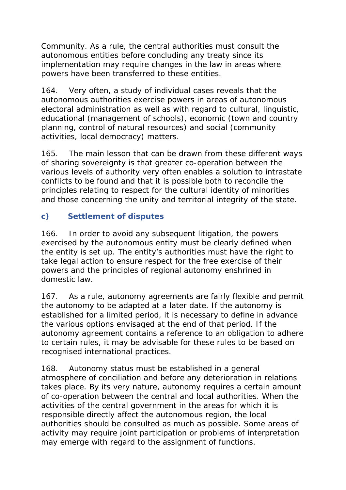Community. As a rule, the central authorities must consult the autonomous entities before concluding any treaty since its implementation may require changes in the law in areas where powers have been transferred to these entities.

164. Very often, a study of individual cases reveals that the autonomous authorities exercise powers in areas of autonomous electoral administration as well as with regard to cultural, linguistic, educational (management of schools), economic (town and country planning, control of natural resources) and social (community activities, local democracy) matters.

165. The main lesson that can be drawn from these different ways of sharing sovereignty is that greater co-operation between the various levels of authority very often enables a solution to intrastate conflicts to be found and that it is possible both to reconcile the principles relating to respect for the cultural identity of minorities and those concerning the unity and territorial integrity of the state.

# **c) Settlement of disputes**

166. In order to avoid any subsequent litigation, the powers exercised by the autonomous entity must be clearly defined when the entity is set up. The entity's authorities must have the right to take legal action to ensure respect for the free exercise of their powers and the principles of regional autonomy enshrined in domestic law.

167. As a rule, autonomy agreements are fairly flexible and permit the autonomy to be adapted at a later date. If the autonomy is established for a limited period, it is necessary to define in advance the various options envisaged at the end of that period. If the autonomy agreement contains a reference to an obligation to adhere to certain rules, it may be advisable for these rules to be based on recognised international practices.

168. Autonomy status must be established in a general atmosphere of conciliation and before any deterioration in relations takes place. By its very nature, autonomy requires a certain amount of co-operation between the central and local authorities. When the activities of the central government in the areas for which it is responsible directly affect the autonomous region, the local authorities should be consulted as much as possible. Some areas of activity may require joint participation or problems of interpretation may emerge with regard to the assignment of functions.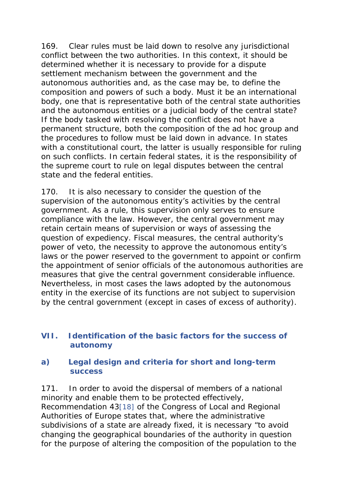169. Clear rules must be laid down to resolve any jurisdictional conflict between the two authorities. In this context, it should be determined whether it is necessary to provide for a dispute settlement mechanism between the government and the autonomous authorities and, as the case may be, to define the composition and powers of such a body. Must it be an international body, one that is representative both of the central state authorities and the autonomous entities or a judicial body of the central state? If the body tasked with resolving the conflict does not have a permanent structure, both the composition of the ad hoc group and the procedures to follow must be laid down in advance. In states with a constitutional court, the latter is usually responsible for ruling on such conflicts. In certain federal states, it is the responsibility of the supreme court to rule on legal disputes between the central state and the federal entities.

170. It is also necessary to consider the question of the supervision of the autonomous entity's activities by the central government. As a rule, this supervision only serves to ensure compliance with the law. However, the central government may retain certain means of supervision or ways of assessing the question of expediency. Fiscal measures, the central authority's power of veto, the necessity to approve the autonomous entity's laws or the power reserved to the government to appoint or confirm the appointment of senior officials of the autonomous authorities are measures that give the central government considerable influence. Nevertheless, in most cases the laws adopted by the autonomous entity in the exercise of its functions are not subject to supervision by the central government (except in cases of excess of authority).

#### **VII. Identification of the basic factors for the success of autonomy**

#### **a) Legal design and criteria for short and long-term success**

171. In order to avoid the dispersal of members of a national minority and enable them to be protected effectively, Recommendation 43[18] of the Congress of Local and Regional Authorities of Europe states that, where the administrative subdivisions of a state are already fixed, it is necessary "to avoid changing the geographical boundaries of the authority in question for the purpose of altering the composition of the population to the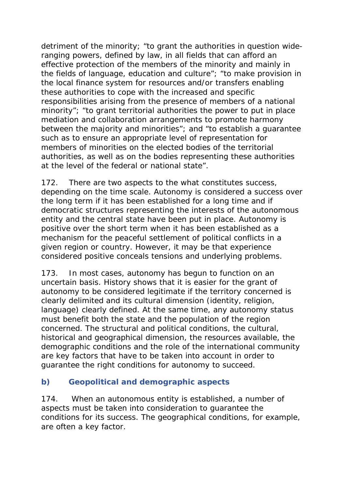detriment of the minority; "to grant the authorities in question wideranging powers, defined by law, in all fields that can afford an effective protection of the members of the minority and mainly in the fields of language, education and culture"; "to make provision in the local finance system for resources and/or transfers enabling these authorities to cope with the increased and specific responsibilities arising from the presence of members of a national minority"; "to grant territorial authorities the power to put in place mediation and collaboration arrangements to promote harmony between the majority and minorities"; and "to establish a guarantee such as to ensure an appropriate level of representation for members of minorities on the elected bodies of the territorial authorities, as well as on the bodies representing these authorities at the level of the federal or national state".

172. There are two aspects to the what constitutes success, depending on the time scale. Autonomy is considered a success over the long term if it has been established for a long time and if democratic structures representing the interests of the autonomous entity and the central state have been put in place. Autonomy is positive over the short term when it has been established as a mechanism for the peaceful settlement of political conflicts in a given region or country. However, it may be that experience considered positive conceals tensions and underlying problems.

173. In most cases, autonomy has begun to function on an uncertain basis. History shows that it is easier for the grant of autonomy to be considered legitimate if the territory concerned is clearly delimited and its cultural dimension (identity, religion, language) clearly defined. At the same time, any autonomy status must benefit both the state and the population of the region concerned. The structural and political conditions, the cultural, historical and geographical dimension, the resources available, the demographic conditions and the role of the international community are key factors that have to be taken into account in order to guarantee the right conditions for autonomy to succeed.

#### **b) Geopolitical and demographic aspects**

174. When an autonomous entity is established, a number of aspects must be taken into consideration to guarantee the conditions for its success. The geographical conditions, for example, are often a key factor.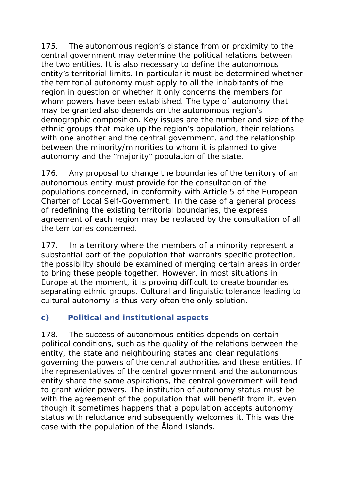175. The autonomous region's distance from or proximity to the central government may determine the political relations between the two entities. It is also necessary to define the autonomous entity's territorial limits. In particular it must be determined whether the territorial autonomy must apply to all the inhabitants of the region in question or whether it only concerns the members for whom powers have been established. The type of autonomy that may be granted also depends on the autonomous region's demographic composition. Key issues are the number and size of the ethnic groups that make up the region's population, their relations with one another and the central government, and the relationship between the minority/minorities to whom it is planned to give autonomy and the "majority" population of the state.

176. Any proposal to change the boundaries of the territory of an autonomous entity must provide for the consultation of the populations concerned, in conformity with Article 5 of the European Charter of Local Self-Government. In the case of a general process of redefining the existing territorial boundaries, the express agreement of each region may be replaced by the consultation of all the territories concerned.

177. In a territory where the members of a minority represent a substantial part of the population that warrants specific protection, the possibility should be examined of merging certain areas in order to bring these people together. However, in most situations in Europe at the moment, it is proving difficult to create boundaries separating ethnic groups. Cultural and linguistic tolerance leading to cultural autonomy is thus very often the only solution.

# **c) Political and institutional aspects**

178. The success of autonomous entities depends on certain political conditions, such as the quality of the relations between the entity, the state and neighbouring states and clear regulations governing the powers of the central authorities and these entities. If the representatives of the central government and the autonomous entity share the same aspirations, the central government will tend to grant wider powers. The institution of autonomy status must be with the agreement of the population that will benefit from it, even though it sometimes happens that a population accepts autonomy status with reluctance and subsequently welcomes it. This was the case with the population of the Åland Islands.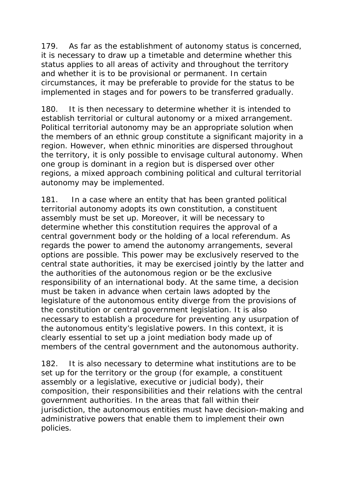179. As far as the establishment of autonomy status is concerned, it is necessary to draw up a timetable and determine whether this status applies to all areas of activity and throughout the territory and whether it is to be provisional or permanent. In certain circumstances, it may be preferable to provide for the status to be implemented in stages and for powers to be transferred gradually.

180. It is then necessary to determine whether it is intended to establish territorial or cultural autonomy or a mixed arrangement. Political territorial autonomy may be an appropriate solution when the members of an ethnic group constitute a significant majority in a region. However, when ethnic minorities are dispersed throughout the territory, it is only possible to envisage cultural autonomy. When one group is dominant in a region but is dispersed over other regions, a mixed approach combining political and cultural territorial autonomy may be implemented.

181. In a case where an entity that has been granted political territorial autonomy adopts its own constitution, a constituent assembly must be set up. Moreover, it will be necessary to determine whether this constitution requires the approval of a central government body or the holding of a local referendum. As regards the power to amend the autonomy arrangements, several options are possible. This power may be exclusively reserved to the central state authorities, it may be exercised jointly by the latter and the authorities of the autonomous region or be the exclusive responsibility of an international body. At the same time, a decision must be taken in advance when certain laws adopted by the legislature of the autonomous entity diverge from the provisions of the constitution or central government legislation. It is also necessary to establish a procedure for preventing any usurpation of the autonomous entity's legislative powers. In this context, it is clearly essential to set up a joint mediation body made up of members of the central government and the autonomous authority.

182. It is also necessary to determine what institutions are to be set up for the territory or the group (for example, a constituent assembly or a legislative, executive or judicial body), their composition, their responsibilities and their relations with the central government authorities. In the areas that fall within their jurisdiction, the autonomous entities must have decision-making and administrative powers that enable them to implement their own policies.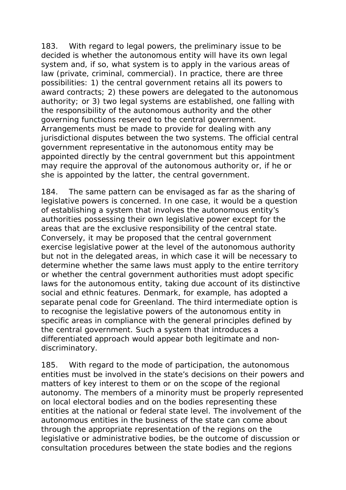183. With regard to legal powers, the preliminary issue to be decided is whether the autonomous entity will have its own legal system and, if so, what system is to apply in the various areas of law (private, criminal, commercial). In practice, there are three possibilities: 1) the central government retains all its powers to award contracts; 2) these powers are delegated to the autonomous authority; or 3) two legal systems are established, one falling with the responsibility of the autonomous authority and the other governing functions reserved to the central government. Arrangements must be made to provide for dealing with any jurisdictional disputes between the two systems. The official central government representative in the autonomous entity may be appointed directly by the central government but this appointment may require the approval of the autonomous authority or, if he or she is appointed by the latter, the central government.

184. The same pattern can be envisaged as far as the sharing of legislative powers is concerned. In one case, it would be a question of establishing a system that involves the autonomous entity's authorities possessing their own legislative power except for the areas that are the exclusive responsibility of the central state. Conversely, it may be proposed that the central government exercise legislative power at the level of the autonomous authority but not in the delegated areas, in which case it will be necessary to determine whether the same laws must apply to the entire territory or whether the central government authorities must adopt specific laws for the autonomous entity, taking due account of its distinctive social and ethnic features. Denmark, for example, has adopted a separate penal code for Greenland. The third intermediate option is to recognise the legislative powers of the autonomous entity in specific areas in compliance with the general principles defined by the central government. Such a system that introduces a differentiated approach would appear both legitimate and nondiscriminatory.

185. With regard to the mode of participation, the autonomous entities must be involved in the state's decisions on their powers and matters of key interest to them or on the scope of the regional autonomy. The members of a minority must be properly represented on local electoral bodies and on the bodies representing these entities at the national or federal state level. The involvement of the autonomous entities in the business of the state can come about through the appropriate representation of the regions on the legislative or administrative bodies, be the outcome of discussion or consultation procedures between the state bodies and the regions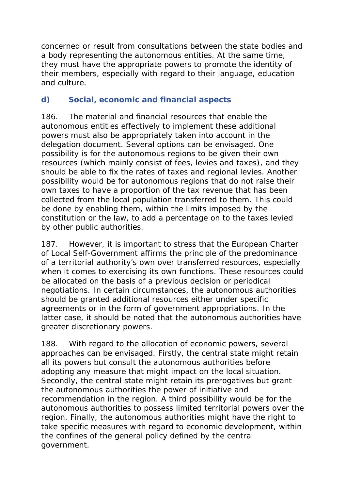concerned or result from consultations between the state bodies and a body representing the autonomous entities. At the same time, they must have the appropriate powers to promote the identity of their members, especially with regard to their language, education and culture.

## **d) Social, economic and financial aspects**

186. The material and financial resources that enable the autonomous entities effectively to implement these additional powers must also be appropriately taken into account in the delegation document. Several options can be envisaged. One possibility is for the autonomous regions to be given their own resources (which mainly consist of fees, levies and taxes), and they should be able to fix the rates of taxes and regional levies. Another possibility would be for autonomous regions that do not raise their own taxes to have a proportion of the tax revenue that has been collected from the local population transferred to them. This could be done by enabling them, within the limits imposed by the constitution or the law, to add a percentage on to the taxes levied by other public authorities.

187. However, it is important to stress that the European Charter of Local Self-Government affirms the principle of the predominance of a territorial authority's own over transferred resources, especially when it comes to exercising its own functions. These resources could be allocated on the basis of a previous decision or periodical negotiations. In certain circumstances, the autonomous authorities should be granted additional resources either under specific agreements or in the form of government appropriations. In the latter case, it should be noted that the autonomous authorities have greater discretionary powers.

188. With regard to the allocation of economic powers, several approaches can be envisaged. Firstly, the central state might retain all its powers but consult the autonomous authorities before adopting any measure that might impact on the local situation. Secondly, the central state might retain its prerogatives but grant the autonomous authorities the power of initiative and recommendation in the region. A third possibility would be for the autonomous authorities to possess limited territorial powers over the region. Finally, the autonomous authorities might have the right to take specific measures with regard to economic development, within the confines of the general policy defined by the central government.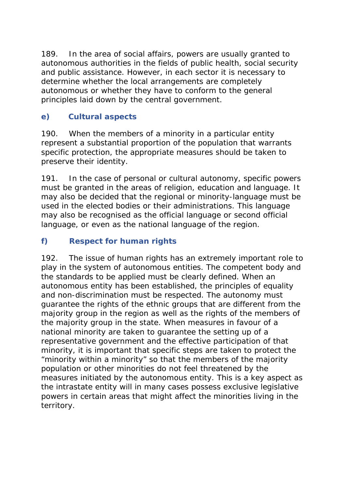189. In the area of social affairs, powers are usually granted to autonomous authorities in the fields of public health, social security and public assistance. However, in each sector it is necessary to determine whether the local arrangements are completely autonomous or whether they have to conform to the general principles laid down by the central government.

# **e) Cultural aspects**

190. When the members of a minority in a particular entity represent a substantial proportion of the population that warrants specific protection, the appropriate measures should be taken to preserve their identity.

191. In the case of personal or cultural autonomy, specific powers must be granted in the areas of religion, education and language. It may also be decided that the regional or minority-language must be used in the elected bodies or their administrations. This language may also be recognised as the official language or second official language, or even as the national language of the region.

# **f) Respect for human rights**

192. The issue of human rights has an extremely important role to play in the system of autonomous entities. The competent body and the standards to be applied must be clearly defined. When an autonomous entity has been established, the principles of equality and non-discrimination must be respected. The autonomy must guarantee the rights of the ethnic groups that are different from the majority group in the region as well as the rights of the members of the majority group in the state. When measures in favour of a national minority are taken to guarantee the setting up of a representative government and the effective participation of that minority, it is important that specific steps are taken to protect the "minority within a minority" so that the members of the majority population or other minorities do not feel threatened by the measures initiated by the autonomous entity. This is a key aspect as the intrastate entity will in many cases possess exclusive legislative powers in certain areas that might affect the minorities living in the territory.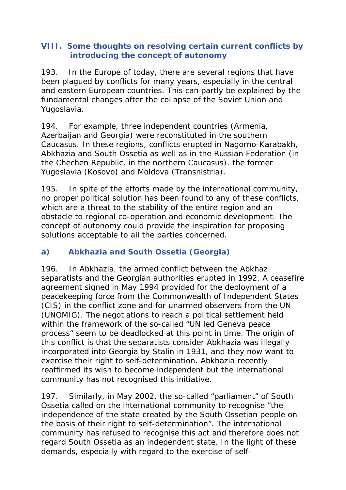#### **VIII. Some thoughts on resolving certain current conflicts by introducing the concept of autonomy**

193.In the Europe of today, there are several regions that have been plagued by conflicts for many years, especially in the central and eastern European countries. This can partly be explained by the fundamental changes after the collapse of the Soviet Union and Yugoslavia.

194. For example, three independent countries (Armenia, Azerbaijan and Georgia) were reconstituted in the southern Caucasus. In these regions, conflicts erupted in Nagorno-Karabakh, Abkhazia and South Ossetia as well as in the Russian Federation (in the Chechen Republic, in the northern Caucasus). the former Yugoslavia (Kosovo) and Moldova (Transnistria).

195. In spite of the efforts made by the international community, no proper political solution has been found to any of these conflicts, which are a threat to the stability of the entire region and an obstacle to regional co-operation and economic development. The concept of autonomy could provide the inspiration for proposing solutions acceptable to all the parties concerned.

# **a) Abkhazia and South Ossetia (Georgia)**

196. In Abkhazia, the armed conflict between the Abkhaz separatists and the Georgian authorities erupted in 1992. A ceasefire agreement signed in May 1994 provided for the deployment of a peacekeeping force from the Commonwealth of Independent States (CIS) in the conflict zone and for unarmed observers from the UN (UNOMIG). The negotiations to reach a political settlement held within the framework of the so-called "UN led Geneva peace process" seem to be deadlocked at this point in time. The origin of this conflict is that the separatists consider Abkhazia was illegally incorporated into Georgia by Stalin in 1931, and they now want to exercise their right to self-determination. Abkhazia recently reaffirmed its wish to become independent but the international community has not recognised this initiative.

197. Similarly, in May 2002, the so-called "parliament" of South Ossetia called on the international community to recognise "the independence of the state created by the South Ossetian people on the basis of their right to self-determination". The international community has refused to recognise this act and therefore does not regard South Ossetia as an independent state. In the light of these demands, especially with regard to the exercise of self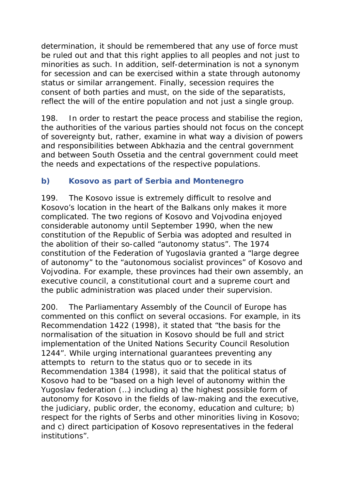determination, it should be remembered that any use of force must be ruled out and that this right applies to all peoples and not just to minorities as such. In addition, self-determination is not a synonym for secession and can be exercised within a state through autonomy status or similar arrangement. Finally, secession requires the consent of both parties and must, on the side of the separatists, reflect the will of the entire population and not just a single group.

198. In order to restart the peace process and stabilise the region, the authorities of the various parties should not focus on the concept of sovereignty but, rather, examine in what way a division of powers and responsibilities between Abkhazia and the central government and between South Ossetia and the central government could meet the needs and expectations of the respective populations.

## **b) Kosovo as part of Serbia and Montenegro**

199. The Kosovo issue is extremely difficult to resolve and Kosovo's location in the heart of the Balkans only makes it more complicated. The two regions of Kosovo and Vojvodina enjoyed considerable autonomy until September 1990, when the new constitution of the Republic of Serbia was adopted and resulted in the abolition of their so-called "autonomy status". The 1974 constitution of the Federation of Yugoslavia granted a "large degree of autonomy" to the "autonomous socialist provinces" of Kosovo and Vojvodina. For example, these provinces had their own assembly, an executive council, a constitutional court and a supreme court and the public administration was placed under their supervision.

200. The Parliamentary Assembly of the Council of Europe has commented on this conflict on several occasions. For example, in its Recommendation 1422 (1998), it stated that "the basis for the normalisation of the situation in Kosovo should be full and strict implementation of the United Nations Security Council Resolution 1244". While urging international guarantees preventing any attempts to return to the status quo or to secede in its Recommendation 1384 (1998), it said that the political status of Kosovo had to be "based on a high level of autonomy within the Yugoslav federation (…) including a) the highest possible form of autonomy for Kosovo in the fields of law-making and the executive, the judiciary, public order, the economy, education and culture; b) respect for the rights of Serbs and other minorities living in Kosovo; and c) direct participation of Kosovo representatives in the federal institutions".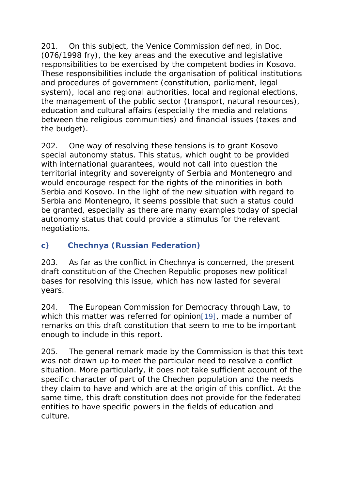201. On this subject, the Venice Commission defined, in Doc. (076/1998 fry), the key areas and the executive and legislative responsibilities to be exercised by the competent bodies in Kosovo. These responsibilities include the organisation of political institutions and procedures of government (constitution, parliament, legal system), local and regional authorities, local and regional elections, the management of the public sector (transport, natural resources), education and cultural affairs (especially the media and relations between the religious communities) and financial issues (taxes and the budget).

202. One way of resolving these tensions is to grant Kosovo special autonomy status. This status, which ought to be provided with international guarantees, would not call into question the territorial integrity and sovereignty of Serbia and Montenegro and would encourage respect for the rights of the minorities in both Serbia and Kosovo. In the light of the new situation with regard to Serbia and Montenegro, it seems possible that such a status could be granted, especially as there are many examples today of special autonomy status that could provide a stimulus for the relevant negotiations.

### **c) Chechnya (Russian Federation)**

203. As far as the conflict in Chechnya is concerned, the present draft constitution of the Chechen Republic proposes new political bases for resolving this issue, which has now lasted for several years.

204. The European Commission for Democracy through Law, to which this matter was referred for opinion[19], made a number of remarks on this draft constitution that seem to me to be important enough to include in this report.

205. The general remark made by the Commission is that this text was not drawn up to meet the particular need to resolve a conflict situation. More particularly, it does not take sufficient account of the specific character of part of the Chechen population and the needs they claim to have and which are at the origin of this conflict. At the same time, this draft constitution does not provide for the federated entities to have specific powers in the fields of education and culture.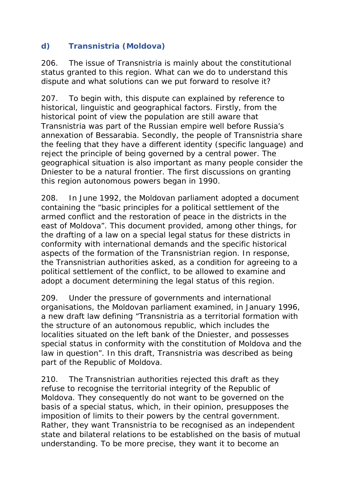## **d) Transnistria (Moldova)**

206. The issue of Transnistria is mainly about the constitutional status granted to this region. What can we do to understand this dispute and what solutions can we put forward to resolve it?

207. To begin with, this dispute can explained by reference to historical, linguistic and geographical factors. Firstly, from the historical point of view the population are still aware that Transnistria was part of the Russian empire well before Russia's annexation of Bessarabia. Secondly, the people of Transnistria share the feeling that they have a different identity (specific language) and reject the principle of being governed by a central power. The geographical situation is also important as many people consider the Dniester to be a natural frontier. The first discussions on granting this region autonomous powers began in 1990.

208. In June 1992, the Moldovan parliament adopted a document containing the "basic principles for a political settlement of the armed conflict and the restoration of peace in the districts in the east of Moldova". This document provided, among other things, for the drafting of a law on a special legal status for these districts in conformity with international demands and the specific historical aspects of the formation of the Transnistrian region. In response, the Transnistrian authorities asked, as a condition for agreeing to a political settlement of the conflict, to be allowed to examine and adopt a document determining the legal status of this region.

209. Under the pressure of governments and international organisations, the Moldovan parliament examined, in January 1996, a new draft law defining "Transnistria as a territorial formation with the structure of an autonomous republic, which includes the localities situated on the left bank of the Dniester, and possesses special status in conformity with the constitution of Moldova and the law in question". In this draft, Transnistria was described as being part of the Republic of Moldova.

210. The Transnistrian authorities rejected this draft as they refuse to recognise the territorial integrity of the Republic of Moldova. They consequently do not want to be governed on the basis of a special status, which, in their opinion, presupposes the imposition of limits to their powers by the central government. Rather, they want Transnistria to be recognised as an independent state and bilateral relations to be established on the basis of mutual understanding. To be more precise, they want it to become an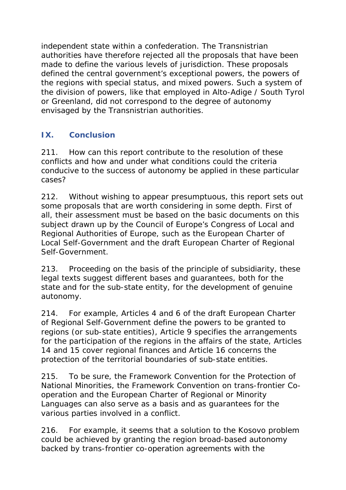independent state within a confederation. The Transnistrian authorities have therefore rejected all the proposals that have been made to define the various levels of jurisdiction. These proposals defined the central government's exceptional powers, the powers of the regions with special status, and mixed powers. Such a system of the division of powers, like that employed in Alto-Adige / South Tyrol or Greenland, did not correspond to the degree of autonomy envisaged by the Transnistrian authorities.

### **IX. Conclusion**

211. How can this report contribute to the resolution of these conflicts and how and under what conditions could the criteria conducive to the success of autonomy be applied in these particular cases?

212. Without wishing to appear presumptuous, this report sets out some proposals that are worth considering in some depth. First of all, their assessment must be based on the basic documents on this subject drawn up by the Council of Europe's Congress of Local and Regional Authorities of Europe, such as the European Charter of Local Self-Government and the draft European Charter of Regional Self-Government.

213. Proceeding on the basis of the principle of subsidiarity, these legal texts suggest different bases and guarantees, both for the state and for the sub-state entity, for the development of genuine autonomy.

214. For example, Articles 4 and 6 of the draft European Charter of Regional Self-Government define the powers to be granted to regions (or sub-state entities), Article 9 specifies the arrangements for the participation of the regions in the affairs of the state, Articles 14 and 15 cover regional finances and Article 16 concerns the protection of the territorial boundaries of sub-state entities.

215. To be sure, the Framework Convention for the Protection of National Minorities, the Framework Convention on trans-frontier Cooperation and the European Charter of Regional or Minority Languages can also serve as a basis and as guarantees for the various parties involved in a conflict.

216. For example, it seems that a solution to the Kosovo problem could be achieved by granting the region broad-based autonomy backed by trans-frontier co-operation agreements with the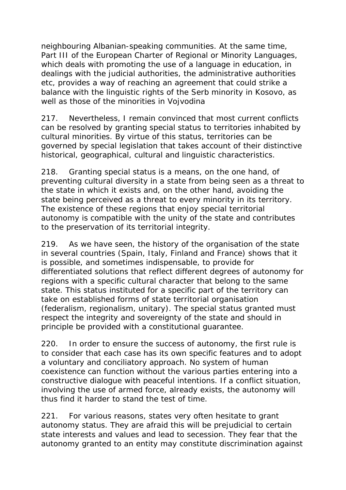neighbouring Albanian-speaking communities. At the same time, Part III of the European Charter of Regional or Minority Languages, which deals with promoting the use of a language in education, in dealings with the judicial authorities, the administrative authorities etc, provides a way of reaching an agreement that could strike a balance with the linguistic rights of the Serb minority in Kosovo, as well as those of the minorities in Vojvodina

217. Nevertheless, I remain convinced that most current conflicts can be resolved by granting special status to territories inhabited by cultural minorities. By virtue of this status, territories can be governed by special legislation that takes account of their distinctive historical, geographical, cultural and linguistic characteristics.

218. Granting special status is a means, on the one hand, of preventing cultural diversity in a state from being seen as a threat to the state in which it exists and, on the other hand, avoiding the state being perceived as a threat to every minority in its territory. The existence of these regions that enjoy special territorial autonomy is compatible with the unity of the state and contributes to the preservation of its territorial integrity.

219. As we have seen, the history of the organisation of the state in several countries (Spain, Italy, Finland and France) shows that it is possible, and sometimes indispensable, to provide for differentiated solutions that reflect different degrees of autonomy for regions with a specific cultural character that belong to the same state. This status instituted for a specific part of the territory can take on established forms of state territorial organisation (federalism, regionalism, unitary). The special status granted must respect the integrity and sovereignty of the state and should in principle be provided with a constitutional guarantee.

220. In order to ensure the success of autonomy, the first rule is to consider that each case has its own specific features and to adopt a voluntary and conciliatory approach. No system of human coexistence can function without the various parties entering into a constructive dialogue with peaceful intentions. If a conflict situation, involving the use of armed force, already exists, the autonomy will thus find it harder to stand the test of time.

221. For various reasons, states very often hesitate to grant autonomy status. They are afraid this will be prejudicial to certain state interests and values and lead to secession. They fear that the autonomy granted to an entity may constitute discrimination against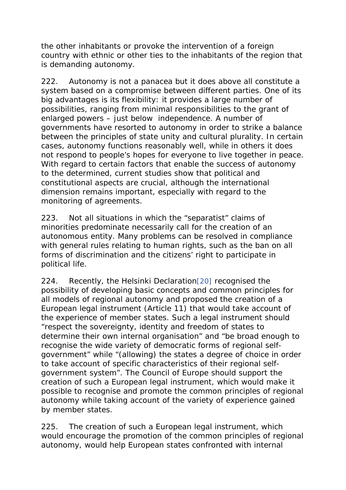the other inhabitants or provoke the intervention of a foreign country with ethnic or other ties to the inhabitants of the region that is demanding autonomy.

222. Autonomy is not a panacea but it does above all constitute a system based on a compromise between different parties. One of its big advantages is its flexibility: it provides a large number of possibilities, ranging from minimal responsibilities to the grant of enlarged powers – just below independence. A number of governments have resorted to autonomy in order to strike a balance between the principles of state unity and cultural plurality. In certain cases, autonomy functions reasonably well, while in others it does not respond to people's hopes for everyone to live together in peace. With regard to certain factors that enable the success of autonomy to the determined, current studies show that political and constitutional aspects are crucial, although the international dimension remains important, especially with regard to the monitoring of agreements.

223. Not all situations in which the "separatist" claims of minorities predominate necessarily call for the creation of an autonomous entity. Many problems can be resolved in compliance with general rules relating to human rights, such as the ban on all forms of discrimination and the citizens' right to participate in political life.

224. Recently, the Helsinki Declaration[20] recognised the possibility of developing basic concepts and common principles for all models of regional autonomy and proposed the creation of a European legal instrument (Article 11) that would take account of the experience of member states. Such a legal instrument should "respect the sovereignty, identity and freedom of states to determine their own internal organisation" and "be broad enough to recognise the wide variety of democratic forms of regional selfgovernment" while "(allowing) the states a degree of choice in order to take account of specific characteristics of their regional selfgovernment system". The Council of Europe should support the creation of such a European legal instrument, which would make it possible to recognise and promote the common principles of regional autonomy while taking account of the variety of experience gained by member states.

225. The creation of such a European legal instrument, which would encourage the promotion of the common principles of regional autonomy, would help European states confronted with internal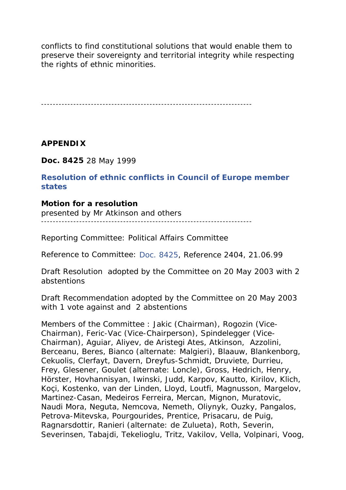conflicts to find constitutional solutions that would enable them to preserve their sovereignty and territorial integrity while respecting the rights of ethnic minorities.

------------------------------------------------------------------------

**APPENDIX**

**Doc. 8425** 28 May 1999

**Resolution of ethnic conflicts in Council of Europe member states**

**Motion for a resolution** 

presented by Mr Atkinson and others ------------------------------------------------------------------------

*Reporting Committee:* Political Affairs Committee

*Reference to Committee:* Doc. 8425, Reference 2404, 21.06.99

*Draft Resolution* adopted by the Committee on 20 May 2003 with 2 abstentions

*Draft Recommendation* adopted by the Committee on 20 May 2003 with 1 vote against and 2 abstentions

*Members of the Committee* : *Jakic* (Chairman), Rogozin (Vice-Chairman), *Feric-Vac* (Vice-Chairperson), Spindelegger (Vice-Chairman), Aguiar, Aliyev, de Aristegi Ates, *Atkinson*, *Azzolini*, Berceanu, Beres, Bianco *(alternate: Malgieri)*, Blaauw, *Blankenborg, Cekuolis*, Clerfayt, Davern, *Dreyfus-Schmidt, Druviete, Durrieu, Frey,* Glesener, Goulet *(alternate: Loncle)*, *Gross*, Hedrich, Henry, Hörster, Hovhannisyan, Iwinski, *Judd,* Karpov, Kautto, *Kirilov,* Klich, Koçi, Kostenko, van der Linden, *Lloyd,* Loutfi, *Magnusson*, Margelov, Martinez-Casan, Medeiros Ferreira, Mercan, Mignon, *Muratovic,* Naudi Mora, Neguta, Nemcova, Nemeth, Oliynyk, Ouzky, Pangalos, Petrova-Mitevska, *Pourgourides, Prentice*, Prisacaru, de Puig, Ragnarsdottir, Ranieri *(alternate: de Zulueta)*, Roth, Severin, Severinsen, Tabajdi, *Tekelioglu*, Tritz, Vakilov, Vella, Volpinari, Voog,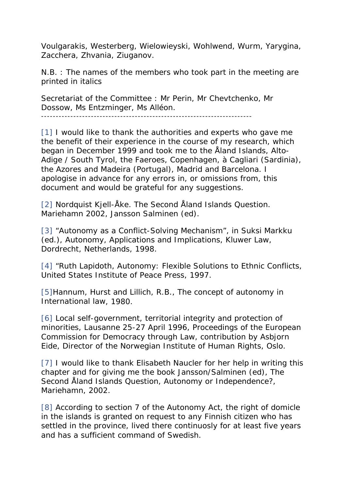Voulgarakis, Westerberg, Wielowieyski, Wohlwend, *Wurm,* Yarygina, *Zacchera,* Zhvania, Ziuganov.

*N.B. : The names of the members who took part in the meeting are printed in italics*

*Secretariat of the Committee :* Mr Perin, Mr Chevtchenko, Mr Dossow, Ms Entzminger, Ms Alléon.

------------------------------------------------------------------------

[1] I would like to thank the authorities and experts who gave me the benefit of their experience in the course of my research, which began in December 1999 and took me to the Åland Islands, Alto-Adige / South Tyrol, the Faeroes, Copenhagen, à Cagliari (Sardinia), the Azores and Madeira (Portugal), Madrid and Barcelona. I apologise in advance for any errors in, or omissions from, this document and would be grateful for any suggestions.

[2] Nordquist Kjell-Åke. *The Second Åland Islands Question*. Mariehamn 2002, Jansson Salminen (ed).

[3] "Autonomy as a Conflict-Solving Mechanism", in Suksi Markku (ed.), *Autonomy, Applications and Implications*, Kluwer Law, Dordrecht, Netherlands, 1998.

[4] "Ruth Lapidoth, *Autonomy: Flexible Solutions to Ethnic Conflicts*, United States Institute of Peace Press, 1997.

[5]Hannum, Hurst and Lillich, R.B., *The concept of autonomy in International law*, 1980.

[6] Local self-government, territorial integrity and protection of minorities, Lausanne 25-27 April 1996, Proceedings of the European Commission for Democracy through Law, contribution by Asbjorn Eide, Director of the Norwegian Institute of Human Rights, Oslo.

[7] I would like to thank Elisabeth Naucler for her help in writing this chapter and for giving me the book Jansson/Salminen (ed), *The Second Åland Islands Question, Autonomy or Independence?,* Mariehamn, 2002.

[8] According to section 7 of the Autonomy Act, the right of domicle in the islands is granted on request to any Finnish citizen who has settled in the province, lived there continuosly for at least five years and has a sufficient command of Swedish.